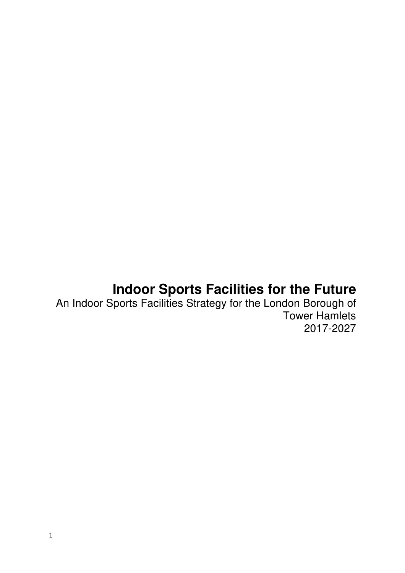# **Indoor Sports Facilities for the Future**

An Indoor Sports Facilities Strategy for the London Borough of Tower Hamlets 2017-2027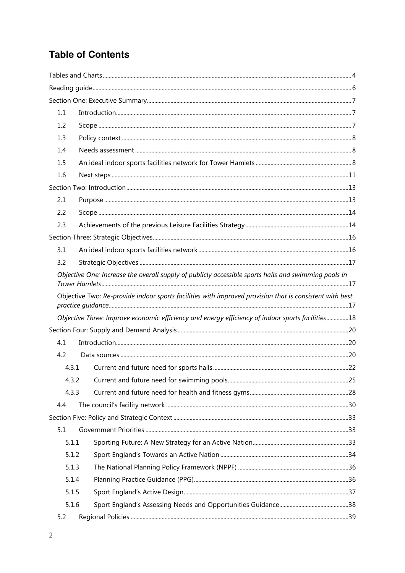## **Table of Contents**

| 1.1   |                                                                                                         |  |  |  |  |  |
|-------|---------------------------------------------------------------------------------------------------------|--|--|--|--|--|
| 1.2   |                                                                                                         |  |  |  |  |  |
| 1.3   |                                                                                                         |  |  |  |  |  |
| 1.4   |                                                                                                         |  |  |  |  |  |
| 1.5   |                                                                                                         |  |  |  |  |  |
| 1.6   |                                                                                                         |  |  |  |  |  |
|       |                                                                                                         |  |  |  |  |  |
| 2.1   |                                                                                                         |  |  |  |  |  |
| 2.2   |                                                                                                         |  |  |  |  |  |
| 2.3   |                                                                                                         |  |  |  |  |  |
|       |                                                                                                         |  |  |  |  |  |
| 3.1   |                                                                                                         |  |  |  |  |  |
| 3.2   |                                                                                                         |  |  |  |  |  |
|       | Objective One: Increase the overall supply of publicly accessible sports halls and swimming pools in    |  |  |  |  |  |
|       | Objective Two: Re-provide indoor sports facilities with improved provision that is consistent with best |  |  |  |  |  |
|       | Objective Three: Improve economic efficiency and energy efficiency of indoor sports facilities18        |  |  |  |  |  |
|       |                                                                                                         |  |  |  |  |  |
| 4.1   |                                                                                                         |  |  |  |  |  |
| 4.2   |                                                                                                         |  |  |  |  |  |
|       | 4.3.1                                                                                                   |  |  |  |  |  |
| 4.3.2 |                                                                                                         |  |  |  |  |  |
| 4.3.3 |                                                                                                         |  |  |  |  |  |
| 4.4   |                                                                                                         |  |  |  |  |  |
|       |                                                                                                         |  |  |  |  |  |
| 5.1   |                                                                                                         |  |  |  |  |  |
| 5.1.1 |                                                                                                         |  |  |  |  |  |
| 5.1.2 |                                                                                                         |  |  |  |  |  |
| 5.1.3 |                                                                                                         |  |  |  |  |  |
| 5.1.4 |                                                                                                         |  |  |  |  |  |
| 5.1.5 |                                                                                                         |  |  |  |  |  |
| 5.1.6 |                                                                                                         |  |  |  |  |  |
| 5.2   |                                                                                                         |  |  |  |  |  |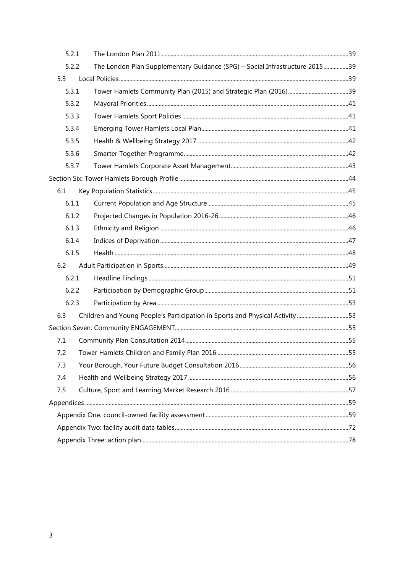| 5.2.1 |                                                                              |  |
|-------|------------------------------------------------------------------------------|--|
| 5.2.2 | The London Plan Supplementary Guidance (SPG) - Social Infrastructure 201539  |  |
| 5.3   |                                                                              |  |
| 5.3.1 |                                                                              |  |
| 5.3.2 |                                                                              |  |
| 5.3.3 |                                                                              |  |
| 5.3.4 |                                                                              |  |
| 5.3.5 |                                                                              |  |
| 5.3.6 |                                                                              |  |
| 5.3.7 |                                                                              |  |
|       |                                                                              |  |
| 6.1   |                                                                              |  |
| 6.1.1 |                                                                              |  |
| 6.1.2 |                                                                              |  |
| 6.1.3 |                                                                              |  |
| 6.1.4 |                                                                              |  |
| 6.1.5 |                                                                              |  |
| 6.2   |                                                                              |  |
| 6.2.1 |                                                                              |  |
| 6.2.2 |                                                                              |  |
| 6.2.3 |                                                                              |  |
| 6.3   | Children and Young People's Participation in Sports and Physical Activity 53 |  |
|       |                                                                              |  |
| 7.1   |                                                                              |  |
| 7.2   |                                                                              |  |
| 7.3   |                                                                              |  |
| 7.4   |                                                                              |  |
| 7.5   |                                                                              |  |
|       |                                                                              |  |
|       |                                                                              |  |
|       |                                                                              |  |
|       |                                                                              |  |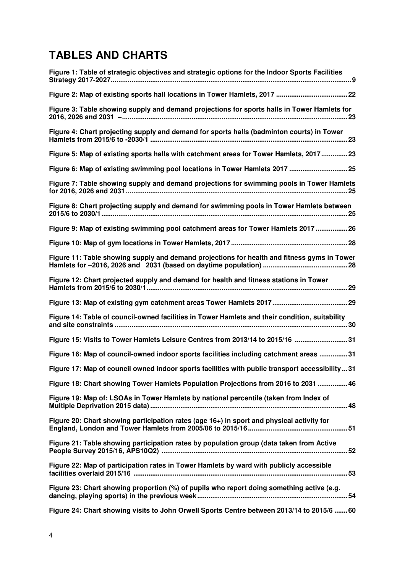## **TABLES AND CHARTS**

| Figure 1: Table of strategic objectives and strategic options for the Indoor Sports Facilities |
|------------------------------------------------------------------------------------------------|
|                                                                                                |
| Figure 3: Table showing supply and demand projections for sports halls in Tower Hamlets for    |
| Figure 4: Chart projecting supply and demand for sports halls (badminton courts) in Tower      |
| Figure 5: Map of existing sports halls with catchment areas for Tower Hamlets, 201723          |
| Figure 6: Map of existing swimming pool locations in Tower Hamlets 2017  25                    |
| Figure 7: Table showing supply and demand projections for swimming pools in Tower Hamlets      |
| Figure 8: Chart projecting supply and demand for swimming pools in Tower Hamlets between       |
| Figure 9: Map of existing swimming pool catchment areas for Tower Hamlets 2017 26              |
|                                                                                                |
| Figure 11: Table showing supply and demand projections for health and fitness gyms in Tower    |
| Figure 12: Chart projected supply and demand for health and fitness stations in Tower          |
|                                                                                                |
| Figure 14: Table of council-owned facilities in Tower Hamlets and their condition, suitability |
| Figure 15: Visits to Tower Hamlets Leisure Centres from 2013/14 to 2015/16 31                  |
| Figure 16: Map of council-owned indoor sports facilities including catchment areas 31          |
| Figure 17: Map of council owned indoor sports facilities with public transport accessibility31 |
| Figure 18: Chart showing Tower Hamlets Population Projections from 2016 to 2031  46            |
| Figure 19: Map of: LSOAs in Tower Hamlets by national percentile (taken from Index of          |
| Figure 20: Chart showing participation rates (age 16+) in sport and physical activity for      |
| Figure 21: Table showing participation rates by population group (data taken from Active       |
| Figure 22: Map of participation rates in Tower Hamlets by ward with publicly accessible        |
| Figure 23: Chart showing proportion (%) of pupils who report doing something active (e.g.      |
| Figure 24: Chart showing visits to John Orwell Sports Centre between 2013/14 to 2015/6 60      |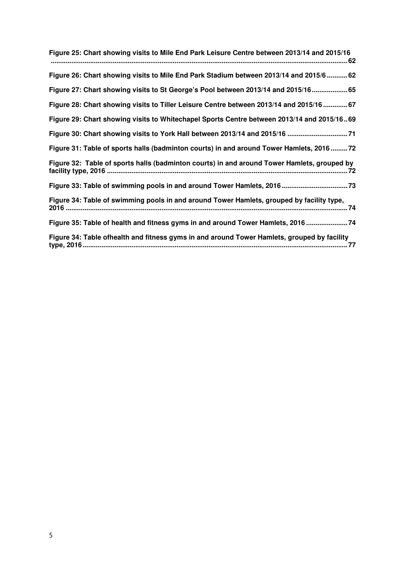| Figure 25: Chart showing visits to Mile End Park Leisure Centre between 2013/14 and 2015/16 |
|---------------------------------------------------------------------------------------------|
| Figure 26: Chart showing visits to Mile End Park Stadium between 2013/14 and 2015/6  62     |
| Figure 27: Chart showing visits to St George's Pool between 2013/14 and 2015/1665           |
| Figure 28: Chart showing visits to Tiller Leisure Centre between 2013/14 and 2015/16 67     |
| Figure 29: Chart showing visits to Whitechapel Sports Centre between 2013/14 and 2015/1669  |
|                                                                                             |
| Figure 31: Table of sports halls (badminton courts) in and around Tower Hamlets, 201672     |
| Figure 32: Table of sports halls (badminton courts) in and around Tower Hamlets, grouped by |
|                                                                                             |
| Figure 34: Table of swimming pools in and around Tower Hamlets, grouped by facility type,   |
| Figure 35: Table of health and fitness gyms in and around Tower Hamlets, 2016 74            |
| Figure 34: Table ofhealth and fitness gyms in and around Tower Hamlets, grouped by facility |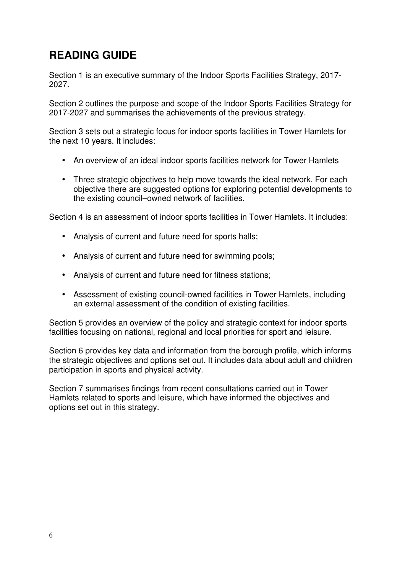## **READING GUIDE**

Section 1 is an executive summary of the Indoor Sports Facilities Strategy, 2017- 2027.

Section 2 outlines the purpose and scope of the Indoor Sports Facilities Strategy for 2017-2027 and summarises the achievements of the previous strategy.

Section 3 sets out a strategic focus for indoor sports facilities in Tower Hamlets for the next 10 years. It includes:

- An overview of an ideal indoor sports facilities network for Tower Hamlets
- Three strategic objectives to help move towards the ideal network. For each objective there are suggested options for exploring potential developments to the existing council–owned network of facilities.

Section 4 is an assessment of indoor sports facilities in Tower Hamlets. It includes:

- Analysis of current and future need for sports halls;
- Analysis of current and future need for swimming pools;
- Analysis of current and future need for fitness stations;
- Assessment of existing council-owned facilities in Tower Hamlets, including an external assessment of the condition of existing facilities.

Section 5 provides an overview of the policy and strategic context for indoor sports facilities focusing on national, regional and local priorities for sport and leisure.

Section 6 provides key data and information from the borough profile, which informs the strategic objectives and options set out. It includes data about adult and children participation in sports and physical activity.

Section 7 summarises findings from recent consultations carried out in Tower Hamlets related to sports and leisure, which have informed the objectives and options set out in this strategy.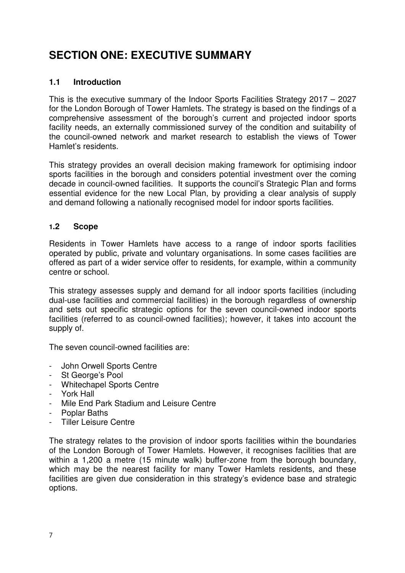## **SECTION ONE: EXECUTIVE SUMMARY**

## **1.1 Introduction**

This is the executive summary of the Indoor Sports Facilities Strategy 2017 – 2027 for the London Borough of Tower Hamlets. The strategy is based on the findings of a comprehensive assessment of the borough's current and projected indoor sports facility needs, an externally commissioned survey of the condition and suitability of the council-owned network and market research to establish the views of Tower Hamlet's residents.

This strategy provides an overall decision making framework for optimising indoor sports facilities in the borough and considers potential investment over the coming decade in council-owned facilities. It supports the council's Strategic Plan and forms essential evidence for the new Local Plan, by providing a clear analysis of supply and demand following a nationally recognised model for indoor sports facilities.

## **1.2 Scope**

Residents in Tower Hamlets have access to a range of indoor sports facilities operated by public, private and voluntary organisations. In some cases facilities are offered as part of a wider service offer to residents, for example, within a community centre or school.

This strategy assesses supply and demand for all indoor sports facilities (including dual-use facilities and commercial facilities) in the borough regardless of ownership and sets out specific strategic options for the seven council-owned indoor sports facilities (referred to as council-owned facilities); however, it takes into account the supply of.

The seven council-owned facilities are:

- John Orwell Sports Centre
- St George's Pool
- Whitechapel Sports Centre
- York Hall
- Mile End Park Stadium and Leisure Centre
- Poplar Baths
- Tiller Leisure Centre

The strategy relates to the provision of indoor sports facilities within the boundaries of the London Borough of Tower Hamlets. However, it recognises facilities that are within a 1,200 a metre (15 minute walk) buffer-zone from the borough boundary, which may be the nearest facility for many Tower Hamlets residents, and these facilities are given due consideration in this strategy's evidence base and strategic options.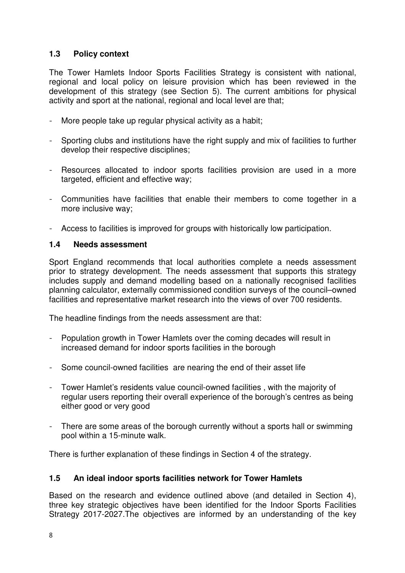## **1.3 Policy context**

The Tower Hamlets Indoor Sports Facilities Strategy is consistent with national, regional and local policy on leisure provision which has been reviewed in the development of this strategy (see Section 5). The current ambitions for physical activity and sport at the national, regional and local level are that;

- More people take up regular physical activity as a habit;
- Sporting clubs and institutions have the right supply and mix of facilities to further develop their respective disciplines;
- Resources allocated to indoor sports facilities provision are used in a more targeted, efficient and effective way;
- Communities have facilities that enable their members to come together in a more inclusive way;
- Access to facilities is improved for groups with historically low participation.

## **1.4 Needs assessment**

Sport England recommends that local authorities complete a needs assessment prior to strategy development. The needs assessment that supports this strategy includes supply and demand modelling based on a nationally recognised facilities planning calculator, externally commissioned condition surveys of the council–owned facilities and representative market research into the views of over 700 residents.

The headline findings from the needs assessment are that:

- Population growth in Tower Hamlets over the coming decades will result in increased demand for indoor sports facilities in the borough
- Some council-owned facilities are nearing the end of their asset life
- Tower Hamlet's residents value council-owned facilities , with the majority of regular users reporting their overall experience of the borough's centres as being either good or very good
- There are some areas of the borough currently without a sports hall or swimming pool within a 15-minute walk.

There is further explanation of these findings in Section 4 of the strategy.

## **1.5 An ideal indoor sports facilities network for Tower Hamlets**

Based on the research and evidence outlined above (and detailed in Section 4), three key strategic objectives have been identified for the Indoor Sports Facilities Strategy 2017-2027.The objectives are informed by an understanding of the key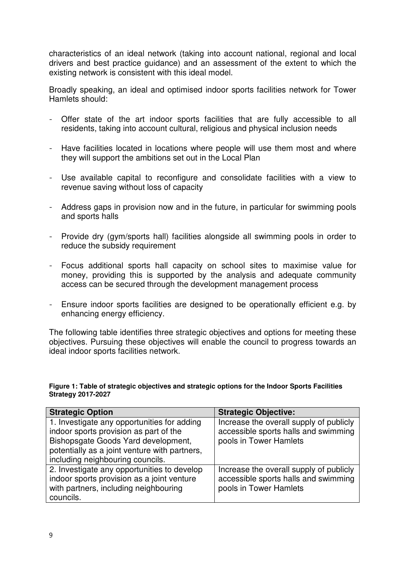characteristics of an ideal network (taking into account national, regional and local drivers and best practice guidance) and an assessment of the extent to which the existing network is consistent with this ideal model.

Broadly speaking, an ideal and optimised indoor sports facilities network for Tower Hamlets should:

- Offer state of the art indoor sports facilities that are fully accessible to all residents, taking into account cultural, religious and physical inclusion needs
- Have facilities located in locations where people will use them most and where they will support the ambitions set out in the Local Plan
- Use available capital to reconfigure and consolidate facilities with a view to revenue saving without loss of capacity
- Address gaps in provision now and in the future, in particular for swimming pools and sports halls
- Provide dry (gym/sports hall) facilities alongside all swimming pools in order to reduce the subsidy requirement
- Focus additional sports hall capacity on school sites to maximise value for money, providing this is supported by the analysis and adequate community access can be secured through the development management process
- Ensure indoor sports facilities are designed to be operationally efficient e.g. by enhancing energy efficiency.

The following table identifies three strategic objectives and options for meeting these objectives. Pursuing these objectives will enable the council to progress towards an ideal indoor sports facilities network.

#### **Figure 1: Table of strategic objectives and strategic options for the Indoor Sports Facilities Strategy 2017-2027**

| <b>Strategic Option</b>                                                                                                                                                                                           | <b>Strategic Objective:</b>                                                                               |
|-------------------------------------------------------------------------------------------------------------------------------------------------------------------------------------------------------------------|-----------------------------------------------------------------------------------------------------------|
| 1. Investigate any opportunities for adding<br>indoor sports provision as part of the<br>Bishopsgate Goods Yard development,<br>potentially as a joint venture with partners,<br>including neighbouring councils. | Increase the overall supply of publicly<br>accessible sports halls and swimming<br>pools in Tower Hamlets |
| 2. Investigate any opportunities to develop<br>indoor sports provision as a joint venture<br>with partners, including neighbouring<br>councils.                                                                   | Increase the overall supply of publicly<br>accessible sports halls and swimming<br>pools in Tower Hamlets |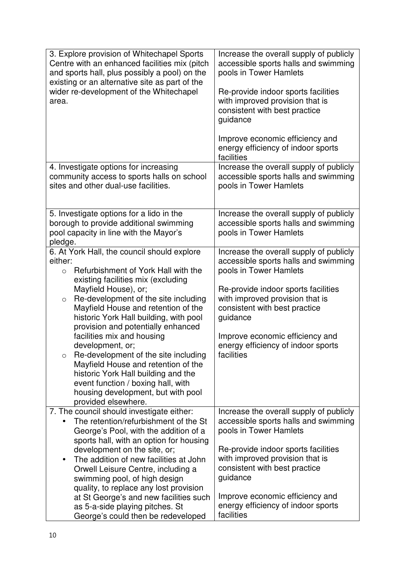| 3. Explore provision of Whitechapel Sports<br>Centre with an enhanced facilities mix (pitch<br>and sports hall, plus possibly a pool) on the<br>existing or an alternative site as part of the<br>wider re-development of the Whitechapel<br>area.                                 | Increase the overall supply of publicly<br>accessible sports halls and swimming<br>pools in Tower Hamlets<br>Re-provide indoor sports facilities<br>with improved provision that is<br>consistent with best practice<br>guidance |  |  |
|------------------------------------------------------------------------------------------------------------------------------------------------------------------------------------------------------------------------------------------------------------------------------------|----------------------------------------------------------------------------------------------------------------------------------------------------------------------------------------------------------------------------------|--|--|
|                                                                                                                                                                                                                                                                                    | Improve economic efficiency and<br>energy efficiency of indoor sports<br>facilities                                                                                                                                              |  |  |
| 4. Investigate options for increasing<br>community access to sports halls on school<br>sites and other dual-use facilities.                                                                                                                                                        | Increase the overall supply of publicly<br>accessible sports halls and swimming<br>pools in Tower Hamlets                                                                                                                        |  |  |
| 5. Investigate options for a lido in the<br>borough to provide additional swimming<br>pool capacity in line with the Mayor's<br>pledge.                                                                                                                                            | Increase the overall supply of publicly<br>accessible sports halls and swimming<br>pools in Tower Hamlets                                                                                                                        |  |  |
| 6. At York Hall, the council should explore<br>either:<br>Refurbishment of York Hall with the<br>$\circ$<br>existing facilities mix (excluding                                                                                                                                     | Increase the overall supply of publicly<br>accessible sports halls and swimming<br>pools in Tower Hamlets                                                                                                                        |  |  |
| Mayfield House), or;<br>Re-development of the site including<br>$\circ$<br>Mayfield House and retention of the<br>historic York Hall building, with pool<br>provision and potentially enhanced                                                                                     | Re-provide indoor sports facilities<br>with improved provision that is<br>consistent with best practice<br>guidance                                                                                                              |  |  |
| facilities mix and housing<br>development, or;<br>Re-development of the site including<br>$\circ$<br>Mayfield House and retention of the<br>historic York Hall building and the<br>event function / boxing hall, with<br>housing development, but with pool<br>provided elsewhere. | Improve economic efficiency and<br>energy efficiency of indoor sports<br>facilities                                                                                                                                              |  |  |
| 7. The council should investigate either:<br>The retention/refurbishment of the St<br>George's Pool, with the addition of a<br>sports hall, with an option for housing                                                                                                             | Increase the overall supply of publicly<br>accessible sports halls and swimming<br>pools in Tower Hamlets                                                                                                                        |  |  |
| development on the site, or;<br>The addition of new facilities at John<br>$\bullet$<br>Orwell Leisure Centre, including a<br>swimming pool, of high design<br>quality, to replace any lost provision                                                                               | Re-provide indoor sports facilities<br>with improved provision that is<br>consistent with best practice<br>guidance                                                                                                              |  |  |
| at St George's and new facilities such<br>as 5-a-side playing pitches. St<br>George's could then be redeveloped                                                                                                                                                                    | Improve economic efficiency and<br>energy efficiency of indoor sports<br>facilities                                                                                                                                              |  |  |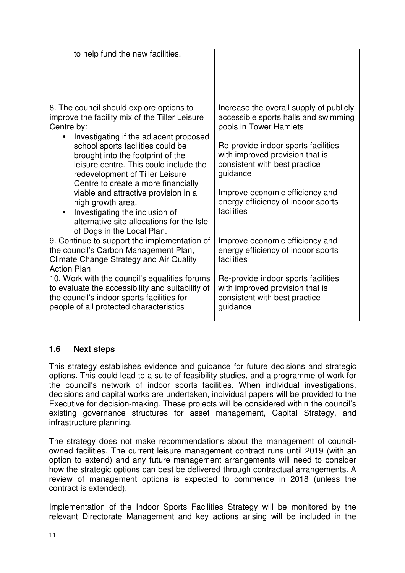| to help fund the new facilities.                                                                                                                                                                                                                                                                                                                                                                                                                                                                                           |                                                                                                                                                                                                                                                                                                                         |
|----------------------------------------------------------------------------------------------------------------------------------------------------------------------------------------------------------------------------------------------------------------------------------------------------------------------------------------------------------------------------------------------------------------------------------------------------------------------------------------------------------------------------|-------------------------------------------------------------------------------------------------------------------------------------------------------------------------------------------------------------------------------------------------------------------------------------------------------------------------|
| 8. The council should explore options to<br>improve the facility mix of the Tiller Leisure<br>Centre by:<br>Investigating if the adjacent proposed<br>school sports facilities could be<br>brought into the footprint of the<br>leisure centre. This could include the<br>redevelopment of Tiller Leisure<br>Centre to create a more financially<br>viable and attractive provision in a<br>high growth area.<br>Investigating the inclusion of<br>alternative site allocations for the Isle<br>of Dogs in the Local Plan. | Increase the overall supply of publicly<br>accessible sports halls and swimming<br>pools in Tower Hamlets<br>Re-provide indoor sports facilities<br>with improved provision that is<br>consistent with best practice<br>guidance<br>Improve economic efficiency and<br>energy efficiency of indoor sports<br>facilities |
| 9. Continue to support the implementation of<br>the council's Carbon Management Plan,<br><b>Climate Change Strategy and Air Quality</b><br><b>Action Plan</b>                                                                                                                                                                                                                                                                                                                                                              | Improve economic efficiency and<br>energy efficiency of indoor sports<br>facilities                                                                                                                                                                                                                                     |
| 10. Work with the council's equalities forums<br>to evaluate the accessibility and suitability of<br>the council's indoor sports facilities for<br>people of all protected characteristics                                                                                                                                                                                                                                                                                                                                 | Re-provide indoor sports facilities<br>with improved provision that is<br>consistent with best practice<br>guidance                                                                                                                                                                                                     |

## **1.6 Next steps**

This strategy establishes evidence and guidance for future decisions and strategic options. This could lead to a suite of feasibility studies, and a programme of work for the council's network of indoor sports facilities. When individual investigations, decisions and capital works are undertaken, individual papers will be provided to the Executive for decision-making. These projects will be considered within the council's existing governance structures for asset management, Capital Strategy, and infrastructure planning.

The strategy does not make recommendations about the management of councilowned facilities. The current leisure management contract runs until 2019 (with an option to extend) and any future management arrangements will need to consider how the strategic options can best be delivered through contractual arrangements. A review of management options is expected to commence in 2018 (unless the contract is extended).

Implementation of the Indoor Sports Facilities Strategy will be monitored by the relevant Directorate Management and key actions arising will be included in the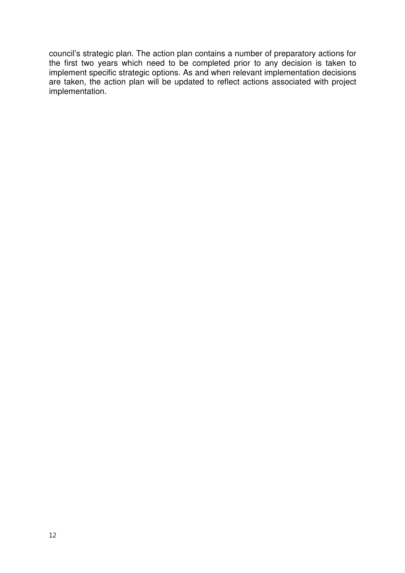council's strategic plan. The action plan contains a number of preparatory actions for the first two years which need to be completed prior to any decision is taken to implement specific strategic options. As and when relevant implementation decisions are taken, the action plan will be updated to reflect actions associated with project implementation.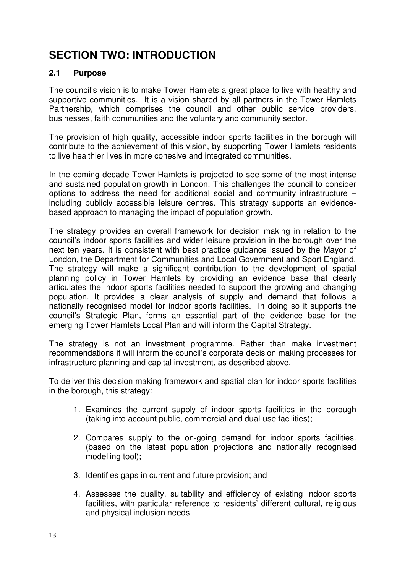## **SECTION TWO: INTRODUCTION**

## **2.1 Purpose**

The council's vision is to make Tower Hamlets a great place to live with healthy and supportive communities. It is a vision shared by all partners in the Tower Hamlets Partnership, which comprises the council and other public service providers, businesses, faith communities and the voluntary and community sector.

The provision of high quality, accessible indoor sports facilities in the borough will contribute to the achievement of this vision, by supporting Tower Hamlets residents to live healthier lives in more cohesive and integrated communities.

In the coming decade Tower Hamlets is projected to see some of the most intense and sustained population growth in London. This challenges the council to consider options to address the need for additional social and community infrastructure – including publicly accessible leisure centres. This strategy supports an evidencebased approach to managing the impact of population growth.

The strategy provides an overall framework for decision making in relation to the council's indoor sports facilities and wider leisure provision in the borough over the next ten years. It is consistent with best practice guidance issued by the Mayor of London, the Department for Communities and Local Government and Sport England. The strategy will make a significant contribution to the development of spatial planning policy in Tower Hamlets by providing an evidence base that clearly articulates the indoor sports facilities needed to support the growing and changing population. It provides a clear analysis of supply and demand that follows a nationally recognised model for indoor sports facilities. In doing so it supports the council's Strategic Plan, forms an essential part of the evidence base for the emerging Tower Hamlets Local Plan and will inform the Capital Strategy.

The strategy is not an investment programme. Rather than make investment recommendations it will inform the council's corporate decision making processes for infrastructure planning and capital investment, as described above.

To deliver this decision making framework and spatial plan for indoor sports facilities in the borough, this strategy:

- 1. Examines the current supply of indoor sports facilities in the borough (taking into account public, commercial and dual-use facilities);
- 2. Compares supply to the on-going demand for indoor sports facilities. (based on the latest population projections and nationally recognised modelling tool);
- 3. Identifies gaps in current and future provision; and
- 4. Assesses the quality, suitability and efficiency of existing indoor sports facilities, with particular reference to residents' different cultural, religious and physical inclusion needs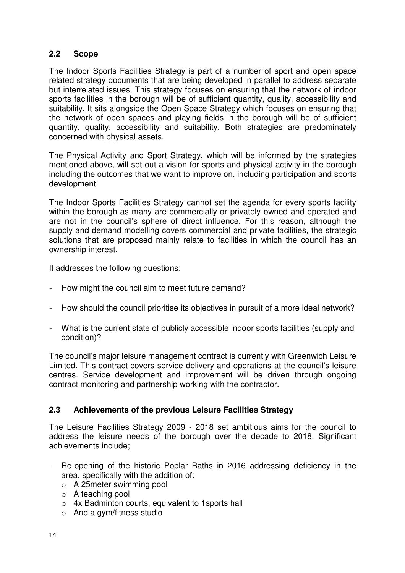### **2.2 Scope**

The Indoor Sports Facilities Strategy is part of a number of sport and open space related strategy documents that are being developed in parallel to address separate but interrelated issues. This strategy focuses on ensuring that the network of indoor sports facilities in the borough will be of sufficient quantity, quality, accessibility and suitability. It sits alongside the Open Space Strategy which focuses on ensuring that the network of open spaces and playing fields in the borough will be of sufficient quantity, quality, accessibility and suitability. Both strategies are predominately concerned with physical assets.

The Physical Activity and Sport Strategy, which will be informed by the strategies mentioned above, will set out a vision for sports and physical activity in the borough including the outcomes that we want to improve on, including participation and sports development.

The Indoor Sports Facilities Strategy cannot set the agenda for every sports facility within the borough as many are commercially or privately owned and operated and are not in the council's sphere of direct influence. For this reason, although the supply and demand modelling covers commercial and private facilities, the strategic solutions that are proposed mainly relate to facilities in which the council has an ownership interest.

It addresses the following questions:

- How might the council aim to meet future demand?
- How should the council prioritise its objectives in pursuit of a more ideal network?
- What is the current state of publicly accessible indoor sports facilities (supply and condition)?

The council's major leisure management contract is currently with Greenwich Leisure Limited. This contract covers service delivery and operations at the council's leisure centres. Service development and improvement will be driven through ongoing contract monitoring and partnership working with the contractor.

## **2.3 Achievements of the previous Leisure Facilities Strategy**

The Leisure Facilities Strategy 2009 - 2018 set ambitious aims for the council to address the leisure needs of the borough over the decade to 2018. Significant achievements include;

- Re-opening of the historic Poplar Baths in 2016 addressing deficiency in the area, specifically with the addition of:
	- o A 25meter swimming pool
	- o A teaching pool
	- o 4x Badminton courts, equivalent to 1sports hall
	- o And a gym/fitness studio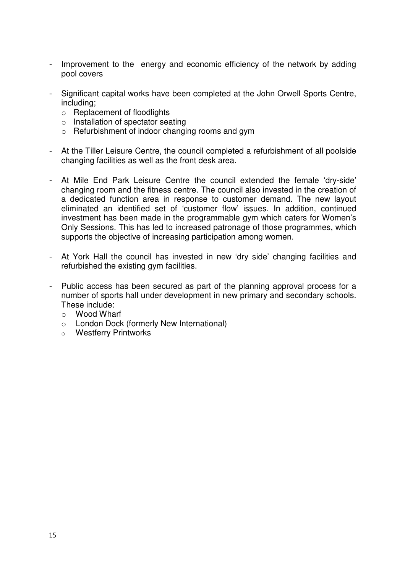- Improvement to the energy and economic efficiency of the network by adding pool covers
- Significant capital works have been completed at the John Orwell Sports Centre, including;
	- o Replacement of floodlights
	- o Installation of spectator seating
	- o Refurbishment of indoor changing rooms and gym
- At the Tiller Leisure Centre, the council completed a refurbishment of all poolside changing facilities as well as the front desk area.
- At Mile End Park Leisure Centre the council extended the female 'dry-side' changing room and the fitness centre. The council also invested in the creation of a dedicated function area in response to customer demand. The new layout eliminated an identified set of 'customer flow' issues. In addition, continued investment has been made in the programmable gym which caters for Women's Only Sessions. This has led to increased patronage of those programmes, which supports the objective of increasing participation among women.
- At York Hall the council has invested in new 'dry side' changing facilities and refurbished the existing gym facilities.
- Public access has been secured as part of the planning approval process for a number of sports hall under development in new primary and secondary schools. These include:
	- o Wood Wharf
	- o London Dock (formerly New International)
	- o Westferry Printworks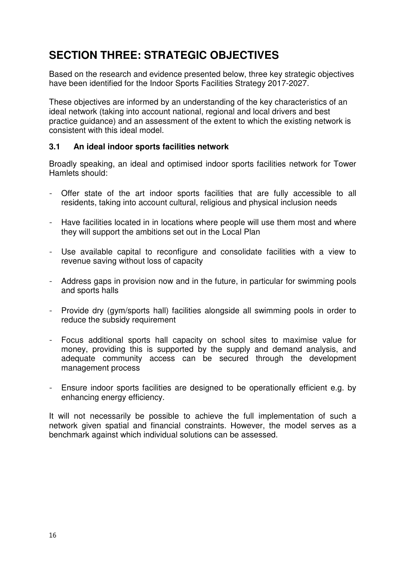## **SECTION THREE: STRATEGIC OBJECTIVES**

Based on the research and evidence presented below, three key strategic objectives have been identified for the Indoor Sports Facilities Strategy 2017-2027.

These objectives are informed by an understanding of the key characteristics of an ideal network (taking into account national, regional and local drivers and best practice guidance) and an assessment of the extent to which the existing network is consistent with this ideal model.

### **3.1 An ideal indoor sports facilities network**

Broadly speaking, an ideal and optimised indoor sports facilities network for Tower Hamlets should:

- Offer state of the art indoor sports facilities that are fully accessible to all residents, taking into account cultural, religious and physical inclusion needs
- Have facilities located in in locations where people will use them most and where they will support the ambitions set out in the Local Plan
- Use available capital to reconfigure and consolidate facilities with a view to revenue saving without loss of capacity
- Address gaps in provision now and in the future, in particular for swimming pools and sports halls
- Provide dry (gym/sports hall) facilities alongside all swimming pools in order to reduce the subsidy requirement
- Focus additional sports hall capacity on school sites to maximise value for money, providing this is supported by the supply and demand analysis, and adequate community access can be secured through the development management process
- Ensure indoor sports facilities are designed to be operationally efficient e.g. by enhancing energy efficiency.

It will not necessarily be possible to achieve the full implementation of such a network given spatial and financial constraints. However, the model serves as a benchmark against which individual solutions can be assessed.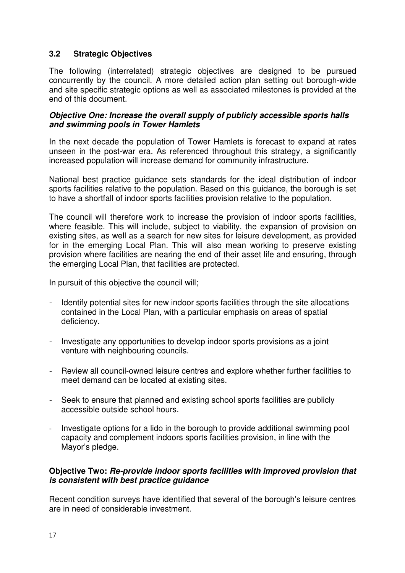## **3.2 Strategic Objectives**

The following (interrelated) strategic objectives are designed to be pursued concurrently by the council. A more detailed action plan setting out borough-wide and site specific strategic options as well as associated milestones is provided at the end of this document.

#### *Objective One: Increase the overall supply of publicly accessible sports halls and swimming pools in Tower Hamlets*

In the next decade the population of Tower Hamlets is forecast to expand at rates unseen in the post-war era. As referenced throughout this strategy, a significantly increased population will increase demand for community infrastructure.

National best practice guidance sets standards for the ideal distribution of indoor sports facilities relative to the population. Based on this guidance, the borough is set to have a shortfall of indoor sports facilities provision relative to the population.

The council will therefore work to increase the provision of indoor sports facilities, where feasible. This will include, subject to viability, the expansion of provision on existing sites, as well as a search for new sites for leisure development, as provided for in the emerging Local Plan. This will also mean working to preserve existing provision where facilities are nearing the end of their asset life and ensuring, through the emerging Local Plan, that facilities are protected.

In pursuit of this objective the council will;

- Identify potential sites for new indoor sports facilities through the site allocations contained in the Local Plan, with a particular emphasis on areas of spatial deficiency.
- Investigate any opportunities to develop indoor sports provisions as a joint venture with neighbouring councils.
- Review all council-owned leisure centres and explore whether further facilities to meet demand can be located at existing sites.
- Seek to ensure that planned and existing school sports facilities are publicly accessible outside school hours.
- Investigate options for a lido in the borough to provide additional swimming pool capacity and complement indoors sports facilities provision, in line with the Mayor's pledge.

### **Objective Two:** *Re-provide indoor sports facilities with improved provision that is consistent with best practice guidance*

Recent condition surveys have identified that several of the borough's leisure centres are in need of considerable investment.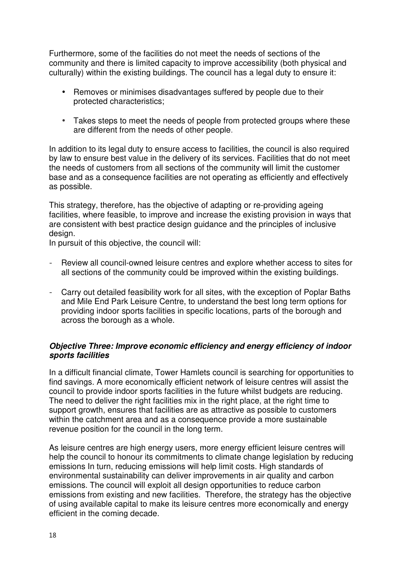Furthermore, some of the facilities do not meet the needs of sections of the community and there is limited capacity to improve accessibility (both physical and culturally) within the existing buildings. The council has a legal duty to ensure it:

- Removes or minimises disadvantages suffered by people due to their protected characteristics;
- Takes steps to meet the needs of people from protected groups where these are different from the needs of other people.

In addition to its legal duty to ensure access to facilities, the council is also required by law to ensure best value in the delivery of its services. Facilities that do not meet the needs of customers from all sections of the community will limit the customer base and as a consequence facilities are not operating as efficiently and effectively as possible.

This strategy, therefore, has the objective of adapting or re-providing ageing facilities, where feasible, to improve and increase the existing provision in ways that are consistent with best practice design guidance and the principles of inclusive design.

In pursuit of this objective, the council will:

- Review all council-owned leisure centres and explore whether access to sites for all sections of the community could be improved within the existing buildings.
- Carry out detailed feasibility work for all sites, with the exception of Poplar Baths and Mile End Park Leisure Centre, to understand the best long term options for providing indoor sports facilities in specific locations, parts of the borough and across the borough as a whole.

#### *Objective Three: Improve economic efficiency and energy efficiency of indoor sports facilities*

In a difficult financial climate, Tower Hamlets council is searching for opportunities to find savings. A more economically efficient network of leisure centres will assist the council to provide indoor sports facilities in the future whilst budgets are reducing. The need to deliver the right facilities mix in the right place, at the right time to support growth, ensures that facilities are as attractive as possible to customers within the catchment area and as a consequence provide a more sustainable revenue position for the council in the long term.

As leisure centres are high energy users, more energy efficient leisure centres will help the council to honour its commitments to climate change legislation by reducing emissions In turn, reducing emissions will help limit costs. High standards of environmental sustainability can deliver improvements in air quality and carbon emissions. The council will exploit all design opportunities to reduce carbon emissions from existing and new facilities. Therefore, the strategy has the objective of using available capital to make its leisure centres more economically and energy efficient in the coming decade.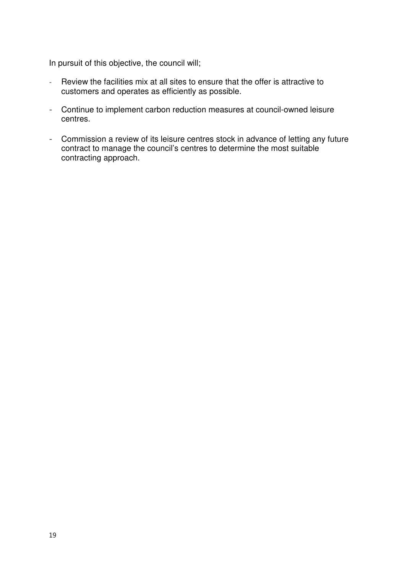In pursuit of this objective, the council will;

- Review the facilities mix at all sites to ensure that the offer is attractive to customers and operates as efficiently as possible.
- Continue to implement carbon reduction measures at council-owned leisure centres.
- Commission a review of its leisure centres stock in advance of letting any future contract to manage the council's centres to determine the most suitable contracting approach.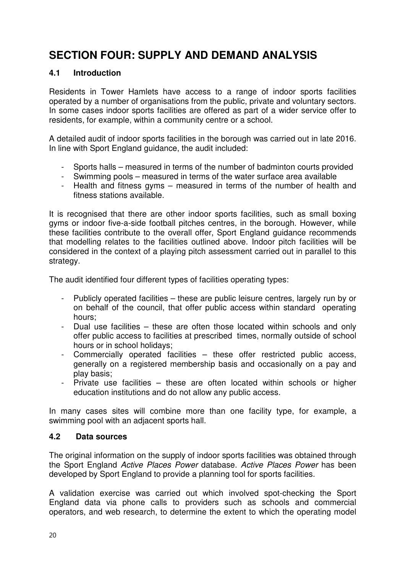## **SECTION FOUR: SUPPLY AND DEMAND ANALYSIS**

## **4.1 Introduction**

Residents in Tower Hamlets have access to a range of indoor sports facilities operated by a number of organisations from the public, private and voluntary sectors. In some cases indoor sports facilities are offered as part of a wider service offer to residents, for example, within a community centre or a school.

A detailed audit of indoor sports facilities in the borough was carried out in late 2016. In line with Sport England guidance, the audit included:

- Sports halls measured in terms of the number of badminton courts provided
- Swimming pools measured in terms of the water surface area available
- Health and fitness gyms measured in terms of the number of health and fitness stations available.

It is recognised that there are other indoor sports facilities, such as small boxing gyms or indoor five-a-side football pitches centres, in the borough. However, while these facilities contribute to the overall offer, Sport England guidance recommends that modelling relates to the facilities outlined above. Indoor pitch facilities will be considered in the context of a playing pitch assessment carried out in parallel to this strategy.

The audit identified four different types of facilities operating types:

- Publicly operated facilities these are public leisure centres, largely run by or on behalf of the council, that offer public access within standard operating hours;
- Dual use facilities these are often those located within schools and only offer public access to facilities at prescribed times, normally outside of school hours or in school holidays;
- Commercially operated facilities these offer restricted public access, generally on a registered membership basis and occasionally on a pay and play basis;
- Private use facilities these are often located within schools or higher education institutions and do not allow any public access.

In many cases sites will combine more than one facility type, for example, a swimming pool with an adjacent sports hall.

## **4.2 Data sources**

The original information on the supply of indoor sports facilities was obtained through the Sport England *Active Places Power* database. *Active Places Power* has been developed by Sport England to provide a planning tool for sports facilities.

A validation exercise was carried out which involved spot-checking the Sport England data via phone calls to providers such as schools and commercial operators, and web research, to determine the extent to which the operating model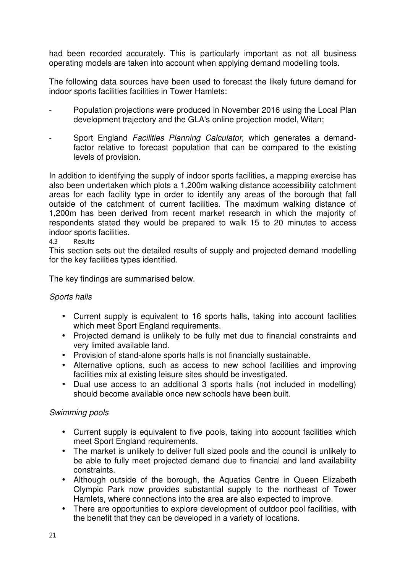had been recorded accurately. This is particularly important as not all business operating models are taken into account when applying demand modelling tools.

The following data sources have been used to forecast the likely future demand for indoor sports facilities facilities in Tower Hamlets:

- Population projections were produced in November 2016 using the Local Plan development trajectory and the GLA's online projection model, Witan;
- Sport England *Facilities Planning Calculator*, which generates a demandfactor relative to forecast population that can be compared to the existing levels of provision.

In addition to identifying the supply of indoor sports facilities, a mapping exercise has also been undertaken which plots a 1,200m walking distance accessibility catchment areas for each facility type in order to identify any areas of the borough that fall outside of the catchment of current facilities. The maximum walking distance of 1,200m has been derived from recent market research in which the majority of respondents stated they would be prepared to walk 15 to 20 minutes to access indoor sports facilities.

4.3 Results

This section sets out the detailed results of supply and projected demand modelling for the key facilities types identified.

The key findings are summarised below.

## *Sports halls*

- Current supply is equivalent to 16 sports halls, taking into account facilities which meet Sport England requirements.
- Projected demand is unlikely to be fully met due to financial constraints and very limited available land.
- Provision of stand-alone sports halls is not financially sustainable.
- Alternative options, such as access to new school facilities and improving facilities mix at existing leisure sites should be investigated.
- Dual use access to an additional 3 sports halls (not included in modelling) should become available once new schools have been built.

## *Swimming pools*

- Current supply is equivalent to five pools, taking into account facilities which meet Sport England requirements.
- The market is unlikely to deliver full sized pools and the council is unlikely to be able to fully meet projected demand due to financial and land availability constraints.
- Although outside of the borough, the Aquatics Centre in Queen Elizabeth Olympic Park now provides substantial supply to the northeast of Tower Hamlets, where connections into the area are also expected to improve.
- There are opportunities to explore development of outdoor pool facilities, with the benefit that they can be developed in a variety of locations.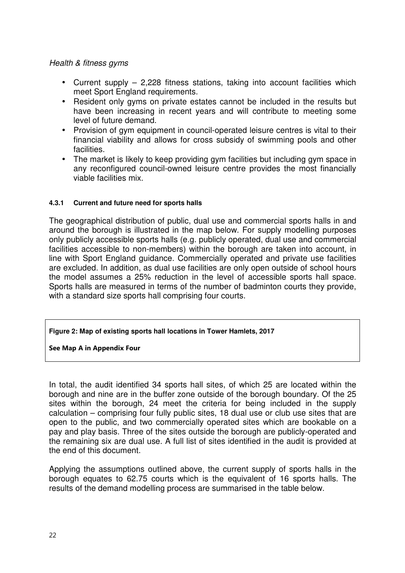#### *Health & fitness gyms*

- Current supply 2,228 fitness stations, taking into account facilities which meet Sport England requirements.
- Resident only gyms on private estates cannot be included in the results but have been increasing in recent years and will contribute to meeting some level of future demand.
- Provision of gym equipment in council-operated leisure centres is vital to their financial viability and allows for cross subsidy of swimming pools and other facilities.
- The market is likely to keep providing gym facilities but including gym space in any reconfigured council-owned leisure centre provides the most financially viable facilities mix.

#### **4.3.1 Current and future need for sports halls**

The geographical distribution of public, dual use and commercial sports halls in and around the borough is illustrated in the map below. For supply modelling purposes only publicly accessible sports halls (e.g. publicly operated, dual use and commercial facilities accessible to non-members) within the borough are taken into account, in line with Sport England guidance. Commercially operated and private use facilities are excluded. In addition, as dual use facilities are only open outside of school hours the model assumes a 25% reduction in the level of accessible sports hall space. Sports halls are measured in terms of the number of badminton courts they provide, with a standard size sports hall comprising four courts.

#### **Figure 2: Map of existing sports hall locations in Tower Hamlets, 2017**

#### **See Map A in Appendix Four**

In total, the audit identified 34 sports hall sites, of which 25 are located within the borough and nine are in the buffer zone outside of the borough boundary. Of the 25 sites within the borough, 24 meet the criteria for being included in the supply calculation – comprising four fully public sites, 18 dual use or club use sites that are open to the public, and two commercially operated sites which are bookable on a pay and play basis. Three of the sites outside the borough are publicly-operated and the remaining six are dual use. A full list of sites identified in the audit is provided at the end of this document.

Applying the assumptions outlined above, the current supply of sports halls in the borough equates to 62.75 courts which is the equivalent of 16 sports halls. The results of the demand modelling process are summarised in the table below.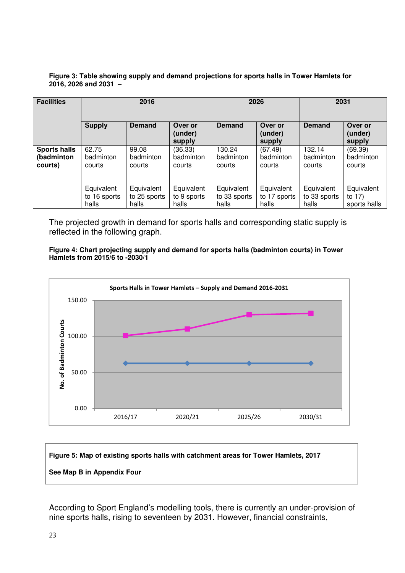#### **Figure 3: Table showing supply and demand projections for sports halls in Tower Hamlets for 2016, 2026 and 2031 –**

| <b>Facilities</b>   | 2016          |               |                              |               | 2026                         | 2031          |                              |
|---------------------|---------------|---------------|------------------------------|---------------|------------------------------|---------------|------------------------------|
|                     | <b>Supply</b> | <b>Demand</b> | Over or<br>(under)<br>supply | <b>Demand</b> | Over or<br>(under)<br>supply | <b>Demand</b> | Over or<br>(under)<br>supply |
| <b>Sports halls</b> | 62.75         | 99.08         | (36.33)                      | 130.24        | (67.49)                      | 132.14        | (69.39)                      |
| (badminton          | badminton     | badminton     | badminton                    | badminton     | badminton                    | badminton     | badminton                    |
| courts)             | courts        | courts        | courts                       | courts        | courts                       | courts        | courts                       |
|                     | Equivalent    | Equivalent    | Equivalent                   | Equivalent    | Equivalent                   | Equivalent    | Equivalent                   |
|                     | to 16 sports  | to 25 sports  | to 9 sports                  | to 33 sports  | to 17 sports                 | to 33 sports  | to 17)                       |
|                     | halls         | halls         | halls                        | halls         | halls                        | halls         | sports halls                 |

The projected growth in demand for sports halls and corresponding static supply is reflected in the following graph.

#### **Figure 4: Chart projecting supply and demand for sports halls (badminton courts) in Tower Hamlets from 2015/6 to -2030/1**





According to Sport England's modelling tools, there is currently an under-provision of nine sports halls, rising to seventeen by 2031. However, financial constraints,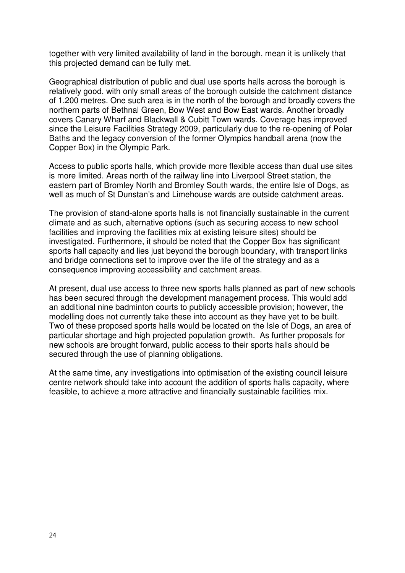together with very limited availability of land in the borough, mean it is unlikely that this projected demand can be fully met.

Geographical distribution of public and dual use sports halls across the borough is relatively good, with only small areas of the borough outside the catchment distance of 1,200 metres. One such area is in the north of the borough and broadly covers the northern parts of Bethnal Green, Bow West and Bow East wards. Another broadly covers Canary Wharf and Blackwall & Cubitt Town wards. Coverage has improved since the Leisure Facilities Strategy 2009, particularly due to the re-opening of Polar Baths and the legacy conversion of the former Olympics handball arena (now the Copper Box) in the Olympic Park.

Access to public sports halls, which provide more flexible access than dual use sites is more limited. Areas north of the railway line into Liverpool Street station, the eastern part of Bromley North and Bromley South wards, the entire Isle of Dogs, as well as much of St Dunstan's and Limehouse wards are outside catchment areas.

The provision of stand-alone sports halls is not financially sustainable in the current climate and as such, alternative options (such as securing access to new school facilities and improving the facilities mix at existing leisure sites) should be investigated. Furthermore, it should be noted that the Copper Box has significant sports hall capacity and lies just beyond the borough boundary, with transport links and bridge connections set to improve over the life of the strategy and as a consequence improving accessibility and catchment areas.

At present, dual use access to three new sports halls planned as part of new schools has been secured through the development management process. This would add an additional nine badminton courts to publicly accessible provision; however, the modelling does not currently take these into account as they have yet to be built. Two of these proposed sports halls would be located on the Isle of Dogs, an area of particular shortage and high projected population growth. As further proposals for new schools are brought forward, public access to their sports halls should be secured through the use of planning obligations.

At the same time, any investigations into optimisation of the existing council leisure centre network should take into account the addition of sports halls capacity, where feasible, to achieve a more attractive and financially sustainable facilities mix.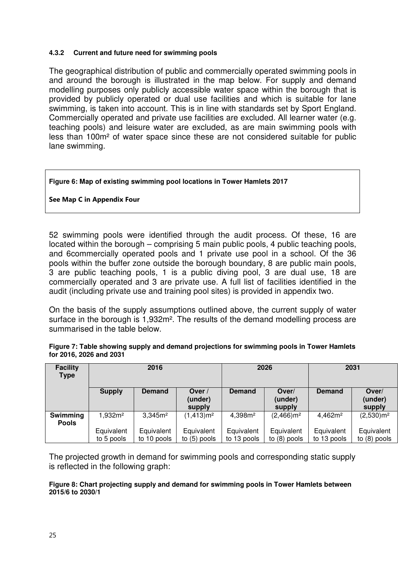#### **4.3.2 Current and future need for swimming pools**

The geographical distribution of public and commercially operated swimming pools in and around the borough is illustrated in the map below. For supply and demand modelling purposes only publicly accessible water space within the borough that is provided by publicly operated or dual use facilities and which is suitable for lane swimming, is taken into account. This is in line with standards set by Sport England. Commercially operated and private use facilities are excluded. All learner water (e.g. teaching pools) and leisure water are excluded, as are main swimming pools with less than 100m² of water space since these are not considered suitable for public lane swimming.

#### **Figure 6: Map of existing swimming pool locations in Tower Hamlets 2017**

#### **See Map C in Appendix Four**

52 swimming pools were identified through the audit process. Of these, 16 are located within the borough – comprising 5 main public pools, 4 public teaching pools, and 6commercially operated pools and 1 private use pool in a school. Of the 36 pools within the buffer zone outside the borough boundary, 8 are public main pools, 3 are public teaching pools, 1 is a public diving pool, 3 are dual use, 18 are commercially operated and 3 are private use. A full list of facilities identified in the audit (including private use and training pool sites) is provided in appendix two.

On the basis of the supply assumptions outlined above, the current supply of water surface in the borough is 1,932m². The results of the demand modelling process are summarised in the table below.

**Figure 7: Table showing supply and demand projections for swimming pools in Tower Hamlets** 

| for 2016, 2026 and 2031        | .    | - -  |      |
|--------------------------------|------|------|------|
| <b>Facility</b><br><b>Type</b> | 2016 | 2026 | 2031 |

| <b>Facility</b><br><b>Type</b> | 2016                |                     | 2026                        |                     | <b>ZU31</b>                |                     |                            |
|--------------------------------|---------------------|---------------------|-----------------------------|---------------------|----------------------------|---------------------|----------------------------|
|                                | <b>Supply</b>       | <b>Demand</b>       | Over /<br>(under)<br>supply | <b>Demand</b>       | Over/<br>(under)<br>supply | <b>Demand</b>       | Over/<br>(under)<br>supply |
| Swimming<br><b>Pools</b>       | 1,932m <sup>2</sup> | 3.345m <sup>2</sup> | (1,413)m <sup>2</sup>       | 4,398m <sup>2</sup> | $(2,466)$ m <sup>2</sup>   | 4,462m <sup>2</sup> | $(2,530)$ m <sup>2</sup>   |
|                                | Equivalent          | Equivalent          | Equivalent                  | Equivalent          | Equivalent                 | Equivalent          | Equivalent                 |
|                                | to 5 pools          | to 10 pools         | to $(5)$ pools              | to 13 pools         | to $(8)$ pools             | to 13 pools         | to $(8)$ pools             |

The projected growth in demand for swimming pools and corresponding static supply is reflected in the following graph:

#### **Figure 8: Chart projecting supply and demand for swimming pools in Tower Hamlets between 2015/6 to 2030/1**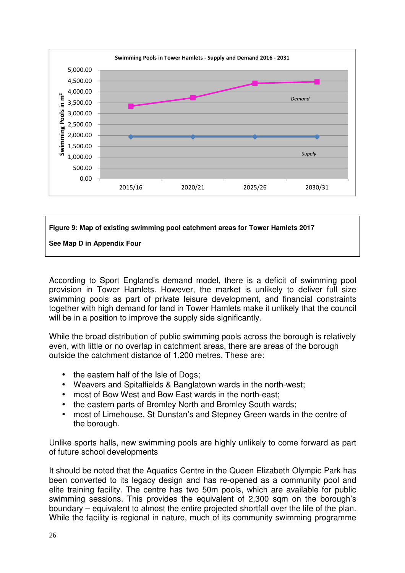

## **Figure 9: Map of existing swimming pool catchment areas for Tower Hamlets 2017**

**See Map D in Appendix Four** 

According to Sport England's demand model, there is a deficit of swimming pool provision in Tower Hamlets. However, the market is unlikely to deliver full size swimming pools as part of private leisure development, and financial constraints together with high demand for land in Tower Hamlets make it unlikely that the council will be in a position to improve the supply side significantly.

While the broad distribution of public swimming pools across the borough is relatively even, with little or no overlap in catchment areas, there are areas of the borough outside the catchment distance of 1,200 metres. These are:

- the eastern half of the Isle of Dogs;
- Weavers and Spitalfields & Banglatown wards in the north-west;
- most of Bow West and Bow East wards in the north-east;
- the eastern parts of Bromley North and Bromley South wards;
- most of Limehouse, St Dunstan's and Stepney Green wards in the centre of the borough.

Unlike sports halls, new swimming pools are highly unlikely to come forward as part of future school developments

It should be noted that the Aquatics Centre in the Queen Elizabeth Olympic Park has been converted to its legacy design and has re-opened as a community pool and elite training facility. The centre has two 50m pools, which are available for public swimming sessions. This provides the equivalent of 2,300 sqm on the borough's boundary – equivalent to almost the entire projected shortfall over the life of the plan. While the facility is regional in nature, much of its community swimming programme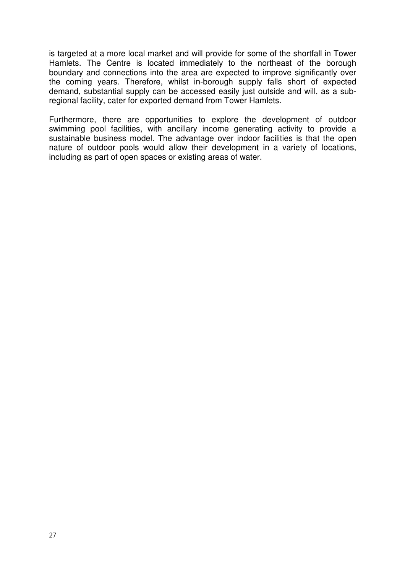is targeted at a more local market and will provide for some of the shortfall in Tower Hamlets. The Centre is located immediately to the northeast of the borough boundary and connections into the area are expected to improve significantly over the coming years. Therefore, whilst in-borough supply falls short of expected demand, substantial supply can be accessed easily just outside and will, as a subregional facility, cater for exported demand from Tower Hamlets.

Furthermore, there are opportunities to explore the development of outdoor swimming pool facilities, with ancillary income generating activity to provide a sustainable business model. The advantage over indoor facilities is that the open nature of outdoor pools would allow their development in a variety of locations, including as part of open spaces or existing areas of water.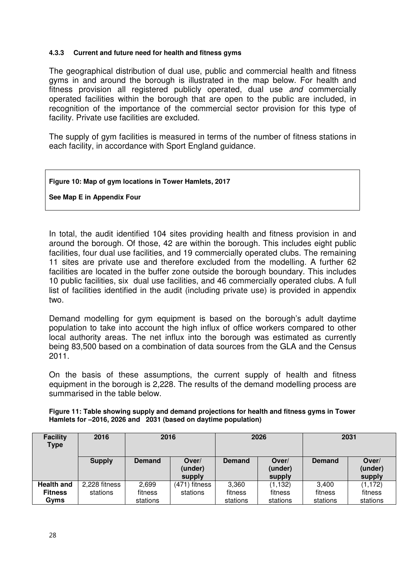#### **4.3.3 Current and future need for health and fitness gyms**

The geographical distribution of dual use, public and commercial health and fitness gyms in and around the borough is illustrated in the map below. For health and fitness provision all registered publicly operated, dual use *and* commercially operated facilities within the borough that are open to the public are included, in recognition of the importance of the commercial sector provision for this type of facility. Private use facilities are excluded.

The supply of gym facilities is measured in terms of the number of fitness stations in each facility, in accordance with Sport England guidance.

#### **Figure 10: Map of gym locations in Tower Hamlets, 2017**

**See Map E in Appendix Four** 

In total, the audit identified 104 sites providing health and fitness provision in and around the borough. Of those, 42 are within the borough. This includes eight public facilities, four dual use facilities, and 19 commercially operated clubs. The remaining 11 sites are private use and therefore excluded from the modelling. A further 62 facilities are located in the buffer zone outside the borough boundary. This includes 10 public facilities, six dual use facilities, and 46 commercially operated clubs. A full list of facilities identified in the audit (including private use) is provided in appendix two.

Demand modelling for gym equipment is based on the borough's adult daytime population to take into account the high influx of office workers compared to other local authority areas. The net influx into the borough was estimated as currently being 83,500 based on a combination of data sources from the GLA and the Census 2011.

On the basis of these assumptions, the current supply of health and fitness equipment in the borough is 2,228. The results of the demand modelling process are summarised in the table below.

|                                                                | Figure 11: Table showing supply and demand projections for health and fitness gyms in Tower |
|----------------------------------------------------------------|---------------------------------------------------------------------------------------------|
| Hamlets for -2016, 2026 and 2031 (based on daytime population) |                                                                                             |

| <b>Facility</b><br><b>Type</b> | 2016          | 2016          |                            | 2026          |                            | 2031          |                            |
|--------------------------------|---------------|---------------|----------------------------|---------------|----------------------------|---------------|----------------------------|
|                                | <b>Supply</b> | <b>Demand</b> | Over/<br>(under)<br>supply | <b>Demand</b> | Over/<br>(under)<br>supply | <b>Demand</b> | Over/<br>(under)<br>supply |
| <b>Health and</b>              | 2,228 fitness | 2,699         | (471) fitness              | 3,360         | (1, 132)                   | 3,400         | (1, 172)                   |
| <b>Fitness</b>                 | stations      | fitness       | stations                   | fitness       | fitness                    | fitness       | fitness                    |
| Gyms                           |               | stations      |                            | stations      | stations                   | stations      | stations                   |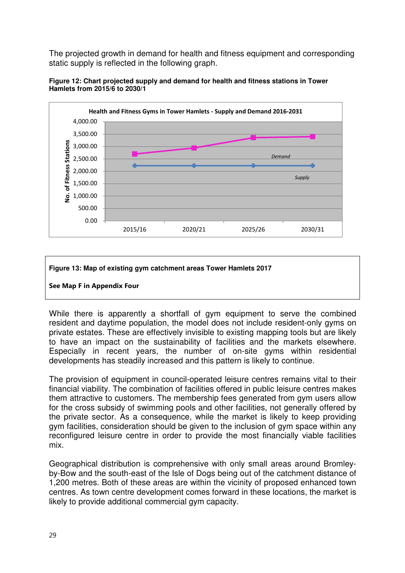The projected growth in demand for health and fitness equipment and corresponding static supply is reflected in the following graph.





#### **Figure 13: Map of existing gym catchment areas Tower Hamlets 2017**



While there is apparently a shortfall of gym equipment to serve the combined resident and daytime population, the model does not include resident-only gyms on private estates. These are effectively invisible to existing mapping tools but are likely to have an impact on the sustainability of facilities and the markets elsewhere. Especially in recent years, the number of on-site gyms within residential developments has steadily increased and this pattern is likely to continue.

The provision of equipment in council-operated leisure centres remains vital to their financial viability. The combination of facilities offered in public leisure centres makes them attractive to customers. The membership fees generated from gym users allow for the cross subsidy of swimming pools and other facilities, not generally offered by the private sector. As a consequence, while the market is likely to keep providing gym facilities, consideration should be given to the inclusion of gym space within any reconfigured leisure centre in order to provide the most financially viable facilities mix.

Geographical distribution is comprehensive with only small areas around Bromleyby-Bow and the south-east of the Isle of Dogs being out of the catchment distance of 1,200 metres. Both of these areas are within the vicinity of proposed enhanced town centres. As town centre development comes forward in these locations, the market is likely to provide additional commercial gym capacity.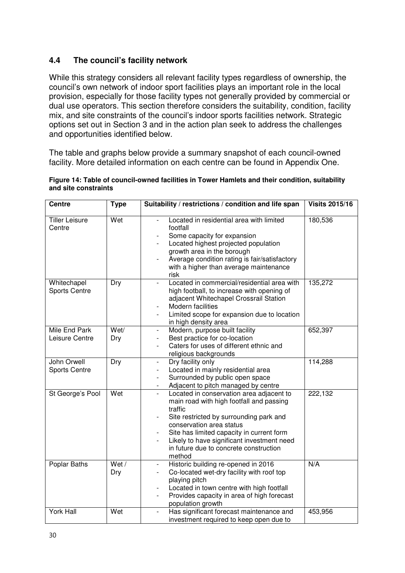## **4.4 The council's facility network**

While this strategy considers all relevant facility types regardless of ownership, the council's own network of indoor sport facilities plays an important role in the local provision, especially for those facility types not generally provided by commercial or dual use operators. This section therefore considers the suitability, condition, facility mix, and site constraints of the council's indoor sports facilities network. Strategic options set out in Section 3 and in the action plan seek to address the challenges and opportunities identified below.

The table and graphs below provide a summary snapshot of each council-owned facility. More detailed information on each centre can be found in Appendix One.

| Figure 14: Table of council-owned facilities in Tower Hamlets and their condition, suitability |  |  |
|------------------------------------------------------------------------------------------------|--|--|
| and site constraints                                                                           |  |  |

| <b>Centre</b>                       | <b>Type</b>    | Suitability / restrictions / condition and life span                                                                                                                                                                                                                                                                  | <b>Visits 2015/16</b> |
|-------------------------------------|----------------|-----------------------------------------------------------------------------------------------------------------------------------------------------------------------------------------------------------------------------------------------------------------------------------------------------------------------|-----------------------|
| <b>Tiller Leisure</b><br>Centre     | Wet            | Located in residential area with limited<br>footfall<br>Some capacity for expansion<br>Located highest projected population<br>growth area in the borough<br>Average condition rating is fair/satisfactory<br>with a higher than average maintenance<br>risk                                                          | 180,536               |
| Whitechapel<br><b>Sports Centre</b> | Dry            | Located in commercial/residential area with<br>$\overline{\phantom{0}}$<br>high football, to increase with opening of<br>adjacent Whitechapel Crossrail Station<br>Modern facilities<br>Limited scope for expansion due to location<br>in high density area                                                           | 135,272               |
| Mile End Park<br>Leisure Centre     | Wet/<br>Dry    | Modern, purpose built facility<br>$\overline{\phantom{0}}$<br>Best practice for co-location<br>Caters for uses of different ethnic and<br>religious backgrounds                                                                                                                                                       | 652,397               |
| John Orwell<br><b>Sports Centre</b> | Dry            | Dry facility only<br>Located in mainly residential area<br>Surrounded by public open space<br>Adjacent to pitch managed by centre                                                                                                                                                                                     | 114,288               |
| St George's Pool                    | Wet            | Located in conservation area adjacent to<br>main road with high footfall and passing<br>traffic<br>Site restricted by surrounding park and<br>conservation area status<br>Site has limited capacity in current form<br>Likely to have significant investment need<br>in future due to concrete construction<br>method | 222,132               |
| Poplar Baths                        | Wet $/$<br>Dry | Historic building re-opened in 2016<br>$\overline{\phantom{a}}$<br>Co-located wet-dry facility with roof top<br>playing pitch<br>Located in town centre with high footfall<br>Provides capacity in area of high forecast<br>$\overline{\phantom{0}}$<br>population growth                                             | N/A                   |
| <b>York Hall</b>                    | Wet            | Has significant forecast maintenance and<br>$\overline{\phantom{a}}$<br>investment required to keep open due to                                                                                                                                                                                                       | 453,956               |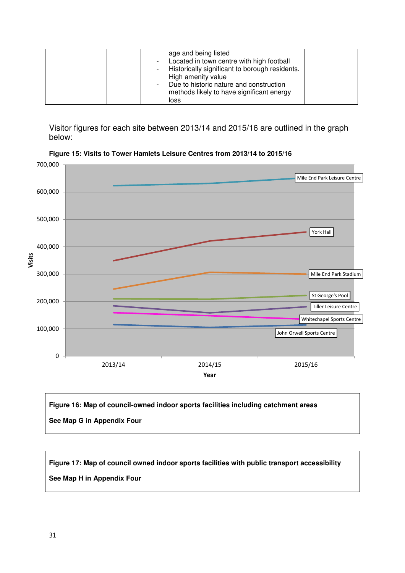| age and being listed<br>- Located in town centre with high football<br>Historically significant to borough residents.<br>High amenity value<br>Due to historic nature and construction<br>methods likely to have significant energy |  |
|-------------------------------------------------------------------------------------------------------------------------------------------------------------------------------------------------------------------------------------|--|
| loss                                                                                                                                                                                                                                |  |

Visitor figures for each site between 2013/14 and 2015/16 are outlined in the graph below:



**Figure 15: Visits to Tower Hamlets Leisure Centres from 2013/14 to 2015/16** 

**Figure 16: Map of council-owned indoor sports facilities including catchment areas See Map G in Appendix Four** 

**Figure 17: Map of council owned indoor sports facilities with public transport accessibility See Map H in Appendix Four**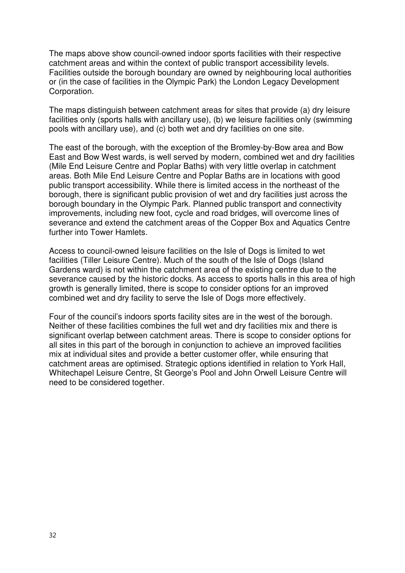The maps above show council-owned indoor sports facilities with their respective catchment areas and within the context of public transport accessibility levels. Facilities outside the borough boundary are owned by neighbouring local authorities or (in the case of facilities in the Olympic Park) the London Legacy Development Corporation.

The maps distinguish between catchment areas for sites that provide (a) dry leisure facilities only (sports halls with ancillary use), (b) we leisure facilities only (swimming pools with ancillary use), and (c) both wet and dry facilities on one site.

The east of the borough, with the exception of the Bromley-by-Bow area and Bow East and Bow West wards, is well served by modern, combined wet and dry facilities (Mile End Leisure Centre and Poplar Baths) with very little overlap in catchment areas. Both Mile End Leisure Centre and Poplar Baths are in locations with good public transport accessibility. While there is limited access in the northeast of the borough, there is significant public provision of wet and dry facilities just across the borough boundary in the Olympic Park. Planned public transport and connectivity improvements, including new foot, cycle and road bridges, will overcome lines of severance and extend the catchment areas of the Copper Box and Aquatics Centre further into Tower Hamlets.

Access to council-owned leisure facilities on the Isle of Dogs is limited to wet facilities (Tiller Leisure Centre). Much of the south of the Isle of Dogs (Island Gardens ward) is not within the catchment area of the existing centre due to the severance caused by the historic docks. As access to sports halls in this area of high growth is generally limited, there is scope to consider options for an improved combined wet and dry facility to serve the Isle of Dogs more effectively.

Four of the council's indoors sports facility sites are in the west of the borough. Neither of these facilities combines the full wet and dry facilities mix and there is significant overlap between catchment areas. There is scope to consider options for all sites in this part of the borough in conjunction to achieve an improved facilities mix at individual sites and provide a better customer offer, while ensuring that catchment areas are optimised. Strategic options identified in relation to York Hall, Whitechapel Leisure Centre, St George's Pool and John Orwell Leisure Centre will need to be considered together.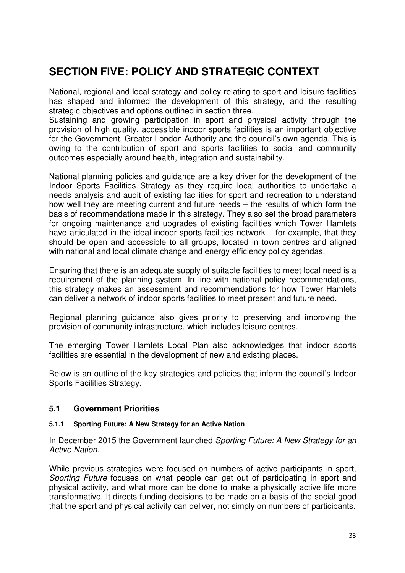## **SECTION FIVE: POLICY AND STRATEGIC CONTEXT**

National, regional and local strategy and policy relating to sport and leisure facilities has shaped and informed the development of this strategy, and the resulting strategic objectives and options outlined in section three.

Sustaining and growing participation in sport and physical activity through the provision of high quality, accessible indoor sports facilities is an important objective for the Government, Greater London Authority and the council's own agenda. This is owing to the contribution of sport and sports facilities to social and community outcomes especially around health, integration and sustainability.

National planning policies and guidance are a key driver for the development of the Indoor Sports Facilities Strategy as they require local authorities to undertake a needs analysis and audit of existing facilities for sport and recreation to understand how well they are meeting current and future needs – the results of which form the basis of recommendations made in this strategy. They also set the broad parameters for ongoing maintenance and upgrades of existing facilities which Tower Hamlets have articulated in the ideal indoor sports facilities network – for example, that they should be open and accessible to all groups, located in town centres and aligned with national and local climate change and energy efficiency policy agendas.

Ensuring that there is an adequate supply of suitable facilities to meet local need is a requirement of the planning system. In line with national policy recommendations, this strategy makes an assessment and recommendations for how Tower Hamlets can deliver a network of indoor sports facilities to meet present and future need.

Regional planning guidance also gives priority to preserving and improving the provision of community infrastructure, which includes leisure centres.

The emerging Tower Hamlets Local Plan also acknowledges that indoor sports facilities are essential in the development of new and existing places.

Below is an outline of the key strategies and policies that inform the council's Indoor Sports Facilities Strategy.

#### **5.1 Government Priorities**

#### **5.1.1 Sporting Future: A New Strategy for an Active Nation**

In December 2015 the Government launched *Sporting Future: A New Strategy for an Active Nation*.

While previous strategies were focused on numbers of active participants in sport, *Sporting Future* focuses on what people can get out of participating in sport and physical activity, and what more can be done to make a physically active life more transformative. It directs funding decisions to be made on a basis of the social good that the sport and physical activity can deliver, not simply on numbers of participants.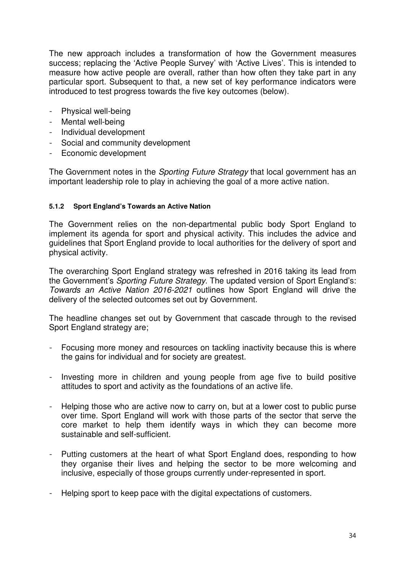The new approach includes a transformation of how the Government measures success; replacing the 'Active People Survey' with 'Active Lives'. This is intended to measure how active people are overall, rather than how often they take part in any particular sport. Subsequent to that, a new set of key performance indicators were introduced to test progress towards the five key outcomes (below).

- Physical well-being
- Mental well-being
- Individual development
- Social and community development
- Economic development

The Government notes in the *Sporting Future Strategy* that local government has an important leadership role to play in achieving the goal of a more active nation.

#### **5.1.2 Sport England's Towards an Active Nation**

The Government relies on the non-departmental public body Sport England to implement its agenda for sport and physical activity. This includes the advice and guidelines that Sport England provide to local authorities for the delivery of sport and physical activity.

The overarching Sport England strategy was refreshed in 2016 taking its lead from the Government's *Sporting Future Strategy*. The updated version of Sport England's: *Towards an Active Nation 2016-2021* outlines how Sport England will drive the delivery of the selected outcomes set out by Government.

The headline changes set out by Government that cascade through to the revised Sport England strategy are;

- Focusing more money and resources on tackling inactivity because this is where the gains for individual and for society are greatest.
- Investing more in children and young people from age five to build positive attitudes to sport and activity as the foundations of an active life.
- Helping those who are active now to carry on, but at a lower cost to public purse over time. Sport England will work with those parts of the sector that serve the core market to help them identify ways in which they can become more sustainable and self-sufficient.
- Putting customers at the heart of what Sport England does, responding to how they organise their lives and helping the sector to be more welcoming and inclusive, especially of those groups currently under-represented in sport.
- Helping sport to keep pace with the digital expectations of customers.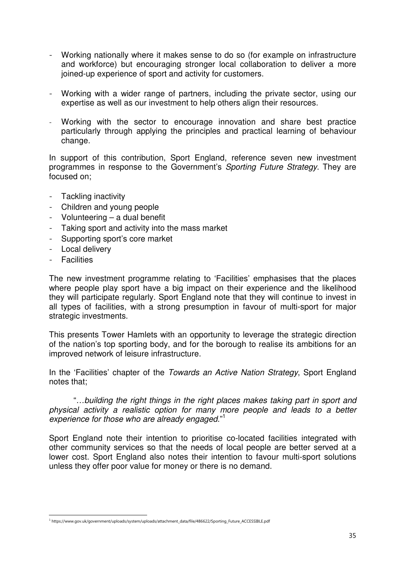- Working nationally where it makes sense to do so (for example on infrastructure and workforce) but encouraging stronger local collaboration to deliver a more joined-up experience of sport and activity for customers.
- Working with a wider range of partners, including the private sector, using our expertise as well as our investment to help others align their resources.
- Working with the sector to encourage innovation and share best practice particularly through applying the principles and practical learning of behaviour change.

In support of this contribution, Sport England, reference seven new investment programmes in response to the Government's *Sporting Future Strategy*. They are focused on;

- Tackling inactivity
- Children and young people
- Volunteering a dual benefit
- Taking sport and activity into the mass market
- Supporting sport's core market
- Local delivery
- Facilities

The new investment programme relating to 'Facilities' emphasises that the places where people play sport have a big impact on their experience and the likelihood they will participate regularly. Sport England note that they will continue to invest in all types of facilities, with a strong presumption in favour of multi-sport for major strategic investments.

This presents Tower Hamlets with an opportunity to leverage the strategic direction of the nation's top sporting body, and for the borough to realise its ambitions for an improved network of leisure infrastructure.

In the 'Facilities' chapter of the *Towards an Active Nation Strategy*, Sport England notes that;

"*…building the right things in the right places makes taking part in sport and physical activity a realistic option for many more people and leads to a better experience for those who are already engaged*."<sup>1</sup>

Sport England note their intention to prioritise co-located facilities integrated with other community services so that the needs of local people are better served at a lower cost. Sport England also notes their intention to favour multi-sport solutions unless they offer poor value for money or there is no demand.

j 1 https://www.gov.uk/government/uploads/system/uploads/attachment\_data/file/486622/Sporting\_Future\_ACCESSIBLE.pdf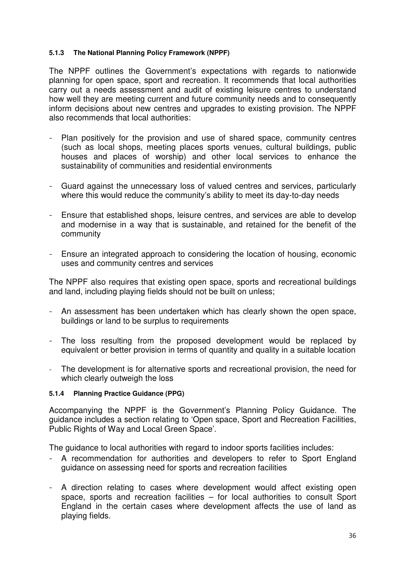#### **5.1.3 The National Planning Policy Framework (NPPF)**

The NPPF outlines the Government's expectations with regards to nationwide planning for open space, sport and recreation. It recommends that local authorities carry out a needs assessment and audit of existing leisure centres to understand how well they are meeting current and future community needs and to consequently inform decisions about new centres and upgrades to existing provision. The NPPF also recommends that local authorities:

- Plan positively for the provision and use of shared space, community centres (such as local shops, meeting places sports venues, cultural buildings, public houses and places of worship) and other local services to enhance the sustainability of communities and residential environments
- Guard against the unnecessary loss of valued centres and services, particularly where this would reduce the community's ability to meet its day-to-day needs
- Ensure that established shops, leisure centres, and services are able to develop and modernise in a way that is sustainable, and retained for the benefit of the community
- Ensure an integrated approach to considering the location of housing, economic uses and community centres and services

The NPPF also requires that existing open space, sports and recreational buildings and land, including playing fields should not be built on unless;

- An assessment has been undertaken which has clearly shown the open space, buildings or land to be surplus to requirements
- The loss resulting from the proposed development would be replaced by equivalent or better provision in terms of quantity and quality in a suitable location
- The development is for alternative sports and recreational provision, the need for which clearly outweigh the loss

#### **5.1.4 Planning Practice Guidance (PPG)**

Accompanying the NPPF is the Government's Planning Policy Guidance. The guidance includes a section relating to 'Open space, Sport and Recreation Facilities, Public Rights of Way and Local Green Space'.

The guidance to local authorities with regard to indoor sports facilities includes:

- A recommendation for authorities and developers to refer to Sport England guidance on assessing need for sports and recreation facilities
- A direction relating to cases where development would affect existing open space, sports and recreation facilities – for local authorities to consult Sport England in the certain cases where development affects the use of land as playing fields.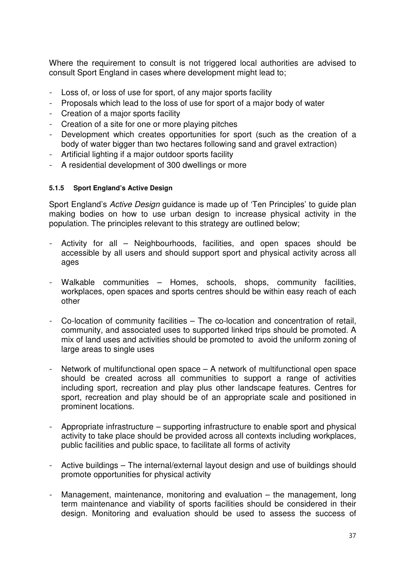Where the requirement to consult is not triggered local authorities are advised to consult Sport England in cases where development might lead to;

- Loss of, or loss of use for sport, of any major sports facility
- Proposals which lead to the loss of use for sport of a major body of water
- Creation of a major sports facility
- Creation of a site for one or more playing pitches
- Development which creates opportunities for sport (such as the creation of a body of water bigger than two hectares following sand and gravel extraction)
- Artificial lighting if a major outdoor sports facility
- A residential development of 300 dwellings or more

#### **5.1.5 Sport England's Active Design**

Sport England's *Active Design* guidance is made up of 'Ten Principles' to guide plan making bodies on how to use urban design to increase physical activity in the population. The principles relevant to this strategy are outlined below;

- Activity for all Neighbourhoods, facilities, and open spaces should be accessible by all users and should support sport and physical activity across all ages
- Walkable communities Homes, schools, shops, community facilities, workplaces, open spaces and sports centres should be within easy reach of each other
- Co-location of community facilities The co-location and concentration of retail, community, and associated uses to supported linked trips should be promoted. A mix of land uses and activities should be promoted to avoid the uniform zoning of large areas to single uses
- Network of multifunctional open space  $-$  A network of multifunctional open space should be created across all communities to support a range of activities including sport, recreation and play plus other landscape features. Centres for sport, recreation and play should be of an appropriate scale and positioned in prominent locations.
- Appropriate infrastructure supporting infrastructure to enable sport and physical activity to take place should be provided across all contexts including workplaces, public facilities and public space, to facilitate all forms of activity
- Active buildings The internal/external layout design and use of buildings should promote opportunities for physical activity
- Management, maintenance, monitoring and evaluation  $-$  the management, long term maintenance and viability of sports facilities should be considered in their design. Monitoring and evaluation should be used to assess the success of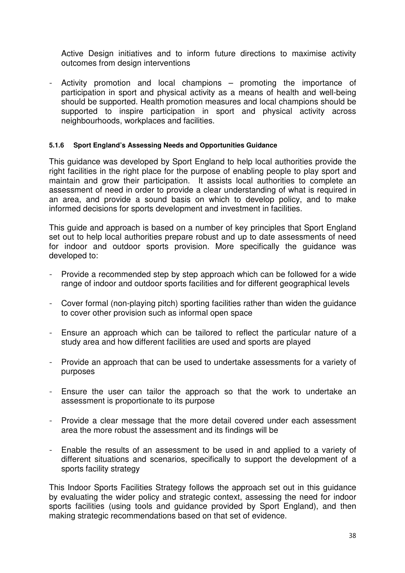Active Design initiatives and to inform future directions to maximise activity outcomes from design interventions

- Activity promotion and local champions – promoting the importance of participation in sport and physical activity as a means of health and well-being should be supported. Health promotion measures and local champions should be supported to inspire participation in sport and physical activity across neighbourhoods, workplaces and facilities.

#### **5.1.6 Sport England's Assessing Needs and Opportunities Guidance**

This guidance was developed by Sport England to help local authorities provide the right facilities in the right place for the purpose of enabling people to play sport and maintain and grow their participation. It assists local authorities to complete an assessment of need in order to provide a clear understanding of what is required in an area, and provide a sound basis on which to develop policy, and to make informed decisions for sports development and investment in facilities.

This guide and approach is based on a number of key principles that Sport England set out to help local authorities prepare robust and up to date assessments of need for indoor and outdoor sports provision. More specifically the guidance was developed to:

- Provide a recommended step by step approach which can be followed for a wide range of indoor and outdoor sports facilities and for different geographical levels
- Cover formal (non-playing pitch) sporting facilities rather than widen the guidance to cover other provision such as informal open space
- Ensure an approach which can be tailored to reflect the particular nature of a study area and how different facilities are used and sports are played
- Provide an approach that can be used to undertake assessments for a variety of purposes
- Ensure the user can tailor the approach so that the work to undertake an assessment is proportionate to its purpose
- Provide a clear message that the more detail covered under each assessment area the more robust the assessment and its findings will be
- Enable the results of an assessment to be used in and applied to a variety of different situations and scenarios, specifically to support the development of a sports facility strategy

This Indoor Sports Facilities Strategy follows the approach set out in this guidance by evaluating the wider policy and strategic context, assessing the need for indoor sports facilities (using tools and guidance provided by Sport England), and then making strategic recommendations based on that set of evidence.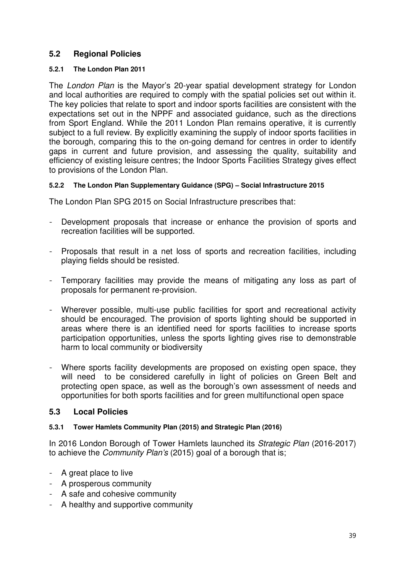## **5.2 Regional Policies**

#### **5.2.1 The London Plan 2011**

The *London Plan* is the Mayor's 20-year spatial development strategy for London and local authorities are required to comply with the spatial policies set out within it. The key policies that relate to sport and indoor sports facilities are consistent with the expectations set out in the NPPF and associated guidance, such as the directions from Sport England. While the 2011 London Plan remains operative, it is currently subject to a full review. By explicitly examining the supply of indoor sports facilities in the borough, comparing this to the on-going demand for centres in order to identify gaps in current and future provision, and assessing the quality, suitability and efficiency of existing leisure centres; the Indoor Sports Facilities Strategy gives effect to provisions of the London Plan.

#### **5.2.2 The London Plan Supplementary Guidance (SPG) – Social Infrastructure 2015**

The London Plan SPG 2015 on Social Infrastructure prescribes that:

- Development proposals that increase or enhance the provision of sports and recreation facilities will be supported.
- Proposals that result in a net loss of sports and recreation facilities, including playing fields should be resisted.
- Temporary facilities may provide the means of mitigating any loss as part of proposals for permanent re-provision.
- Wherever possible, multi-use public facilities for sport and recreational activity should be encouraged. The provision of sports lighting should be supported in areas where there is an identified need for sports facilities to increase sports participation opportunities, unless the sports lighting gives rise to demonstrable harm to local community or biodiversity
- Where sports facility developments are proposed on existing open space, they will need to be considered carefully in light of policies on Green Belt and protecting open space, as well as the borough's own assessment of needs and opportunities for both sports facilities and for green multifunctional open space

## **5.3 Local Policies**

#### **5.3.1 Tower Hamlets Community Plan (2015) and Strategic Plan (2016)**

In 2016 London Borough of Tower Hamlets launched its *Strategic Plan* (2016-2017) to achieve the *Community Plan's* (2015) goal of a borough that is;

- A great place to live
- A prosperous community
- A safe and cohesive community
- A healthy and supportive community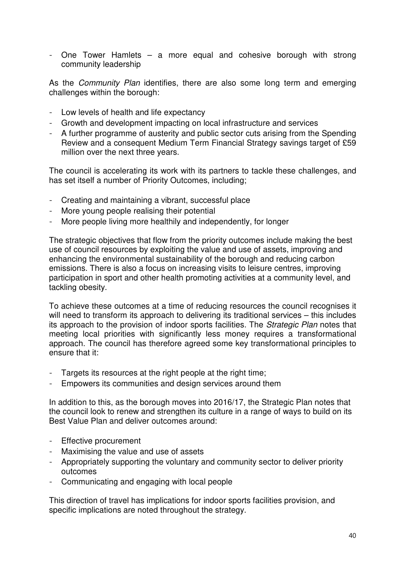- One Tower Hamlets – a more equal and cohesive borough with strong community leadership

As the *Community Plan* identifies, there are also some long term and emerging challenges within the borough:

- Low levels of health and life expectancy
- Growth and development impacting on local infrastructure and services
- A further programme of austerity and public sector cuts arising from the Spending Review and a consequent Medium Term Financial Strategy savings target of £59 million over the next three years.

The council is accelerating its work with its partners to tackle these challenges, and has set itself a number of Priority Outcomes, including;

- Creating and maintaining a vibrant, successful place
- More young people realising their potential
- More people living more healthily and independently, for longer

The strategic objectives that flow from the priority outcomes include making the best use of council resources by exploiting the value and use of assets, improving and enhancing the environmental sustainability of the borough and reducing carbon emissions. There is also a focus on increasing visits to leisure centres, improving participation in sport and other health promoting activities at a community level, and tackling obesity.

To achieve these outcomes at a time of reducing resources the council recognises it will need to transform its approach to delivering its traditional services – this includes its approach to the provision of indoor sports facilities. The *Strategic Plan* notes that meeting local priorities with significantly less money requires a transformational approach. The council has therefore agreed some key transformational principles to ensure that it:

- Targets its resources at the right people at the right time;
- Empowers its communities and design services around them

In addition to this, as the borough moves into 2016/17, the Strategic Plan notes that the council look to renew and strengthen its culture in a range of ways to build on its Best Value Plan and deliver outcomes around:

- Effective procurement
- Maximising the value and use of assets
- Appropriately supporting the voluntary and community sector to deliver priority outcomes
- Communicating and engaging with local people

This direction of travel has implications for indoor sports facilities provision, and specific implications are noted throughout the strategy.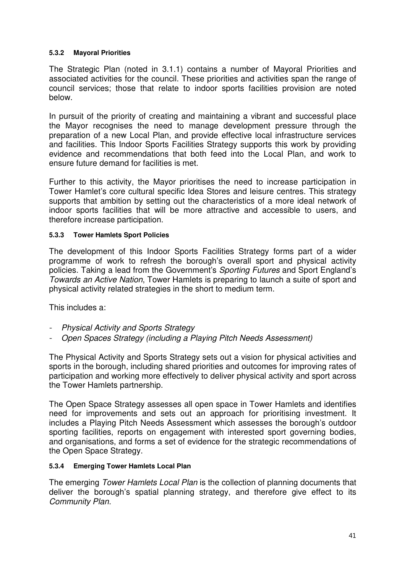## **5.3.2 Mayoral Priorities**

The Strategic Plan (noted in 3.1.1) contains a number of Mayoral Priorities and associated activities for the council. These priorities and activities span the range of council services; those that relate to indoor sports facilities provision are noted below.

In pursuit of the priority of creating and maintaining a vibrant and successful place the Mayor recognises the need to manage development pressure through the preparation of a new Local Plan, and provide effective local infrastructure services and facilities. This Indoor Sports Facilities Strategy supports this work by providing evidence and recommendations that both feed into the Local Plan, and work to ensure future demand for facilities is met.

Further to this activity, the Mayor prioritises the need to increase participation in Tower Hamlet's core cultural specific Idea Stores and leisure centres. This strategy supports that ambition by setting out the characteristics of a more ideal network of indoor sports facilities that will be more attractive and accessible to users, and therefore increase participation.

#### **5.3.3 Tower Hamlets Sport Policies**

The development of this Indoor Sports Facilities Strategy forms part of a wider programme of work to refresh the borough's overall sport and physical activity policies. Taking a lead from the Government's *Sporting Futures* and Sport England's *Towards an Active Nation*, Tower Hamlets is preparing to launch a suite of sport and physical activity related strategies in the short to medium term.

This includes a:

- *Physical Activity and Sports Strategy*
- *Open Spaces Strategy (including a Playing Pitch Needs Assessment)*

The Physical Activity and Sports Strategy sets out a vision for physical activities and sports in the borough, including shared priorities and outcomes for improving rates of participation and working more effectively to deliver physical activity and sport across the Tower Hamlets partnership.

The Open Space Strategy assesses all open space in Tower Hamlets and identifies need for improvements and sets out an approach for prioritising investment. It includes a Playing Pitch Needs Assessment which assesses the borough's outdoor sporting facilities, reports on engagement with interested sport governing bodies, and organisations, and forms a set of evidence for the strategic recommendations of the Open Space Strategy.

#### **5.3.4 Emerging Tower Hamlets Local Plan**

The emerging *Tower Hamlets Local Plan* is the collection of planning documents that deliver the borough's spatial planning strategy, and therefore give effect to its *Community Plan.*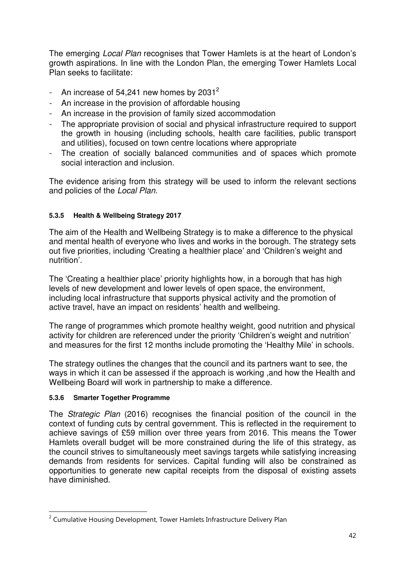The emerging *Local Plan* recognises that Tower Hamlets is at the heart of London's growth aspirations. In line with the London Plan, the emerging Tower Hamlets Local Plan seeks to facilitate:

- An increase of  $54,241$  new homes by  $2031^2$
- An increase in the provision of affordable housing
- An increase in the provision of family sized accommodation
- The appropriate provision of social and physical infrastructure required to support the growth in housing (including schools, health care facilities, public transport and utilities), focused on town centre locations where appropriate
- The creation of socially balanced communities and of spaces which promote social interaction and inclusion.

The evidence arising from this strategy will be used to inform the relevant sections and policies of the *Local Plan.*

## **5.3.5 Health & Wellbeing Strategy 2017**

The aim of the Health and Wellbeing Strategy is to make a difference to the physical and mental health of everyone who lives and works in the borough. The strategy sets out five priorities, including 'Creating a healthier place' and 'Children's weight and nutrition'.

The 'Creating a healthier place' priority highlights how, in a borough that has high levels of new development and lower levels of open space, the environment, including local infrastructure that supports physical activity and the promotion of active travel, have an impact on residents' health and wellbeing.

The range of programmes which promote healthy weight, good nutrition and physical activity for children are referenced under the priority 'Children's weight and nutrition' and measures for the first 12 months include promoting the 'Healthy Mile' in schools.

The strategy outlines the changes that the council and its partners want to see, the ways in which it can be assessed if the approach is working ,and how the Health and Wellbeing Board will work in partnership to make a difference.

## **5.3.6 Smarter Together Programme**

-

The *Strategic Plan* (2016) recognises the financial position of the council in the context of funding cuts by central government. This is reflected in the requirement to achieve savings of £59 million over three years from 2016. This means the Tower Hamlets overall budget will be more constrained during the life of this strategy, as the council strives to simultaneously meet savings targets while satisfying increasing demands from residents for services. Capital funding will also be constrained as opportunities to generate new capital receipts from the disposal of existing assets have diminished.

<sup>&</sup>lt;sup>2</sup> Cumulative Housing Development, Tower Hamlets Infrastructure Delivery Plan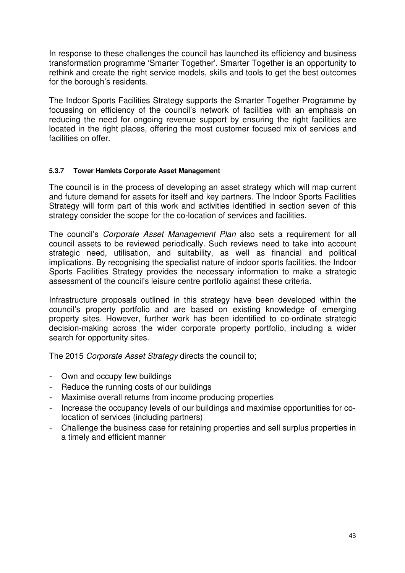In response to these challenges the council has launched its efficiency and business transformation programme 'Smarter Together'. Smarter Together is an opportunity to rethink and create the right service models, skills and tools to get the best outcomes for the borough's residents.

The Indoor Sports Facilities Strategy supports the Smarter Together Programme by focussing on efficiency of the council's network of facilities with an emphasis on reducing the need for ongoing revenue support by ensuring the right facilities are located in the right places, offering the most customer focused mix of services and facilities on offer.

#### **5.3.7 Tower Hamlets Corporate Asset Management**

The council is in the process of developing an asset strategy which will map current and future demand for assets for itself and key partners. The Indoor Sports Facilities Strategy will form part of this work and activities identified in section seven of this strategy consider the scope for the co-location of services and facilities.

The council's *Corporate Asset Management Plan* also sets a requirement for all council assets to be reviewed periodically. Such reviews need to take into account strategic need, utilisation, and suitability, as well as financial and political implications. By recognising the specialist nature of indoor sports facilities, the Indoor Sports Facilities Strategy provides the necessary information to make a strategic assessment of the council's leisure centre portfolio against these criteria.

Infrastructure proposals outlined in this strategy have been developed within the council's property portfolio and are based on existing knowledge of emerging property sites. However, further work has been identified to co-ordinate strategic decision-making across the wider corporate property portfolio, including a wider search for opportunity sites.

The 2015 *Corporate Asset Strategy* directs the council to;

- Own and occupy few buildings
- Reduce the running costs of our buildings
- Maximise overall returns from income producing properties
- Increase the occupancy levels of our buildings and maximise opportunities for colocation of services (including partners)
- Challenge the business case for retaining properties and sell surplus properties in a timely and efficient manner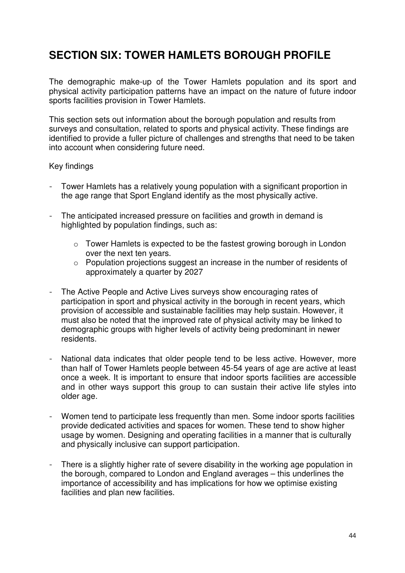# **SECTION SIX: TOWER HAMLETS BOROUGH PROFILE**

The demographic make-up of the Tower Hamlets population and its sport and physical activity participation patterns have an impact on the nature of future indoor sports facilities provision in Tower Hamlets.

This section sets out information about the borough population and results from surveys and consultation, related to sports and physical activity. These findings are identified to provide a fuller picture of challenges and strengths that need to be taken into account when considering future need.

## Key findings

- Tower Hamlets has a relatively young population with a significant proportion in the age range that Sport England identify as the most physically active.
- The anticipated increased pressure on facilities and growth in demand is highlighted by population findings, such as:
	- o Tower Hamlets is expected to be the fastest growing borough in London over the next ten years.
	- o Population projections suggest an increase in the number of residents of approximately a quarter by 2027
- The Active People and Active Lives surveys show encouraging rates of participation in sport and physical activity in the borough in recent years, which provision of accessible and sustainable facilities may help sustain. However, it must also be noted that the improved rate of physical activity may be linked to demographic groups with higher levels of activity being predominant in newer residents.
- National data indicates that older people tend to be less active. However, more than half of Tower Hamlets people between 45-54 years of age are active at least once a week. It is important to ensure that indoor sports facilities are accessible and in other ways support this group to can sustain their active life styles into older age.
- Women tend to participate less frequently than men. Some indoor sports facilities provide dedicated activities and spaces for women. These tend to show higher usage by women. Designing and operating facilities in a manner that is culturally and physically inclusive can support participation.
- There is a slightly higher rate of severe disability in the working age population in the borough, compared to London and England averages – this underlines the importance of accessibility and has implications for how we optimise existing facilities and plan new facilities.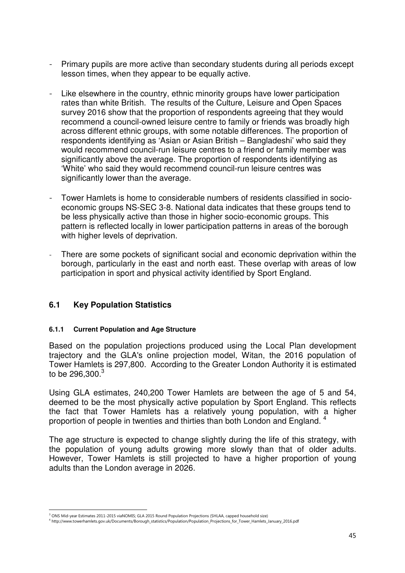- Primary pupils are more active than secondary students during all periods except lesson times, when they appear to be equally active.
- Like elsewhere in the country, ethnic minority groups have lower participation rates than white British. The results of the Culture, Leisure and Open Spaces survey 2016 show that the proportion of respondents agreeing that they would recommend a council-owned leisure centre to family or friends was broadly high across different ethnic groups, with some notable differences. The proportion of respondents identifying as 'Asian or Asian British – Bangladeshi' who said they would recommend council-run leisure centres to a friend or family member was significantly above the average. The proportion of respondents identifying as 'White' who said they would recommend council-run leisure centres was significantly lower than the average.
- Tower Hamlets is home to considerable numbers of residents classified in socioeconomic groups NS-SEC 3-8. National data indicates that these groups tend to be less physically active than those in higher socio-economic groups. This pattern is reflected locally in lower participation patterns in areas of the borough with higher levels of deprivation.
- There are some pockets of significant social and economic deprivation within the borough, particularly in the east and north east. These overlap with areas of low participation in sport and physical activity identified by Sport England.

## **6.1 Key Population Statistics**

#### **6.1.1 Current Population and Age Structure**

Based on the population projections produced using the Local Plan development trajectory and the GLA's online projection model, Witan, the 2016 population of Tower Hamlets is 297,800. According to the Greater London Authority it is estimated to be 296,300.<sup>3</sup>

Using GLA estimates, 240,200 Tower Hamlets are between the age of 5 and 54, deemed to be the most physically active population by Sport England. This reflects the fact that Tower Hamlets has a relatively young population, with a higher proportion of people in twenties and thirties than both London and England.  $4$ 

The age structure is expected to change slightly during the life of this strategy, with the population of young adults growing more slowly than that of older adults. However, Tower Hamlets is still projected to have a higher proportion of young adults than the London average in 2026.

<sup>-</sup>3 ONS Mid-year Estimates 2011-2015 viaNOMIS; GLA 2015 Round Population Projections (SHLAA, capped household size)

<sup>4</sup> http://www.towerhamlets.gov.uk/Documents/Borough\_statistics/Population/Population\_Projections\_for\_Tower\_Hamlets\_January\_2016.pdf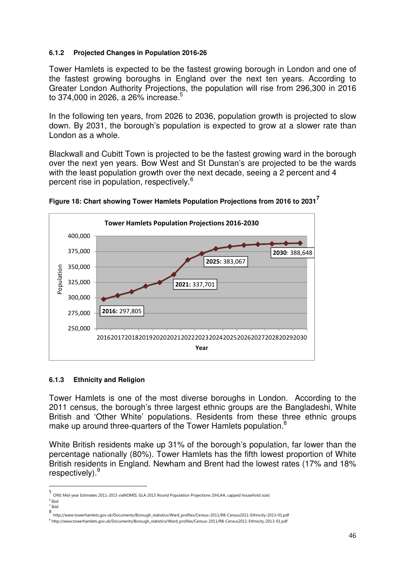#### **6.1.2 Projected Changes in Population 2016-26**

Tower Hamlets is expected to be the fastest growing borough in London and one of the fastest growing boroughs in England over the next ten years. According to Greater London Authority Projections, the population will rise from 296,300 in 2016 to 374,000 in 2026, a 26% increase.<sup>5</sup>

In the following ten years, from 2026 to 2036, population growth is projected to slow down. By 2031, the borough's population is expected to grow at a slower rate than London as a whole.

Blackwall and Cubitt Town is projected to be the fastest growing ward in the borough over the next yen years. Bow West and St Dunstan's are projected to be the wards with the least population growth over the next decade, seeing a 2 percent and 4 percent rise in population, respectively.<sup>6</sup>





#### **6.1.3 Ethnicity and Religion**

Tower Hamlets is one of the most diverse boroughs in London. According to the 2011 census, the borough's three largest ethnic groups are the Bangladeshi, White British and 'Other White' populations. Residents from these three ethnic groups make up around three-quarters of the Tower Hamlets population.<sup>8</sup>

White British residents make up 31% of the borough's population, far lower than the percentage nationally (80%). Tower Hamlets has the fifth lowest proportion of White British residents in England. Newham and Brent had the lowest rates (17% and 18% respectively).<sup>9</sup>

-

<sup>5</sup> ONS Mid-year Estimates 2011-2015 viaNOMIS; GLA 2015 Round Population Projections (SHLAA, capped household size) 6 Ibid

<sup>7</sup> Ibid

<sup>8&</sup>lt;br>http://www.towerhamlets.gov.uk/Documents/Borough\_statistics/Ward\_profiles/Census-2011/RB-Census2011-Ethnicity-2013-01.pdf<br><sup>9</sup>http://www.towerbamlets.gov.uk/Documents/Borough\_statistics/Ward\_profiles/Census-2011/RB-Census

http://www.towerhamlets.gov.uk/Documents/Borough\_statistics/Ward\_profiles/Census-2011/RB-Census2011-Ethnicity-2013-01.pdf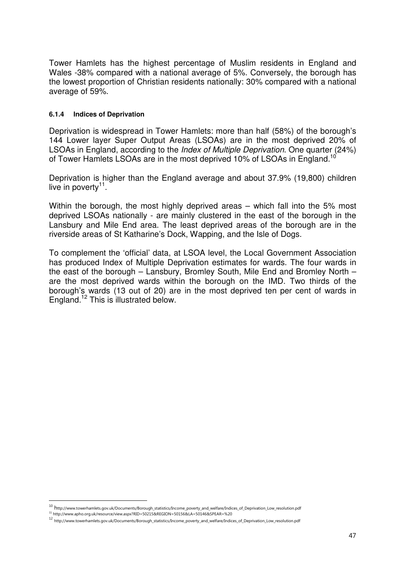Tower Hamlets has the highest percentage of Muslim residents in England and Wales -38% compared with a national average of 5%. Conversely, the borough has the lowest proportion of Christian residents nationally: 30% compared with a national average of 59%.

#### **6.1.4 Indices of Deprivation**

Deprivation is widespread in Tower Hamlets: more than half (58%) of the borough's 144 Lower layer Super Output Areas (LSOAs) are in the most deprived 20% of LSOAs in England, according to the *Index of Multiple Deprivation*. One quarter (24%) of Tower Hamlets LSOAs are in the most deprived 10% of LSOAs in England.<sup>10</sup>

Deprivation is higher than the England average and about 37.9% (19,800) children live in poverty $^{11}$ .

Within the borough, the most highly deprived areas – which fall into the 5% most deprived LSOAs nationally - are mainly clustered in the east of the borough in the Lansbury and Mile End area. The least deprived areas of the borough are in the riverside areas of St Katharine's Dock, Wapping, and the Isle of Dogs.

To complement the 'official' data, at LSOA level, the Local Government Association has produced Index of Multiple Deprivation estimates for wards. The four wards in the east of the borough – Lansbury, Bromley South, Mile End and Bromley North – are the most deprived wards within the borough on the IMD. Two thirds of the borough's wards (13 out of 20) are in the most deprived ten per cent of wards in England.<sup>12</sup> This is illustrated below.

l

<sup>&</sup>lt;sup>10</sup> http://www.towerhamlets.gov.uk/Documents/Borough\_statistics/Income\_poverty\_and\_welfare/Indices\_of\_Deprivation\_Low\_resolution.pdf

<sup>11</sup> http://www.apho.org.uk/resource/view.aspx?RID=50215&REGION=50156&LA=50146&SPEAR=%20

<sup>12</sup> http://www.towerhamlets.gov.uk/Documents/Borough\_statistics/Income\_poverty\_and\_welfare/Indices\_of\_Deprivation\_Low\_resolution.pdf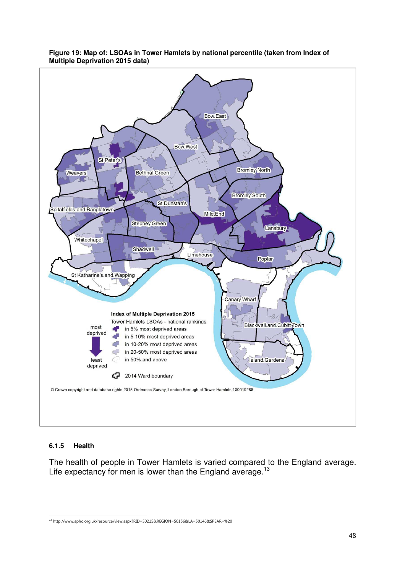

#### **Figure 19: Map of: LSOAs in Tower Hamlets by national percentile (taken from Index of Multiple Deprivation 2015 data)**

## **6.1.5 Health**

The health of people in Tower Hamlets is varied compared to the England average. Life expectancy for men is lower than the England average.<sup>13</sup>

j <sup>13</sup> http://www.apho.org.uk/resource/view.aspx?RID=50215&REGION=50156&LA=50146&SPEAR=%20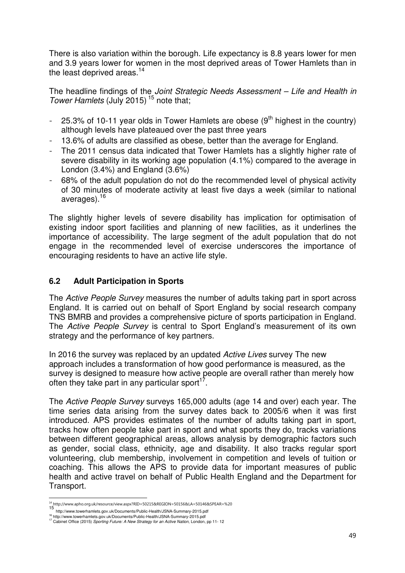There is also variation within the borough. Life expectancy is 8.8 years lower for men and 3.9 years lower for women in the most deprived areas of Tower Hamlets than in the least deprived areas. $14$ 

The headline findings of the *Joint Strategic Needs Assessment – Life and Health in Tower Hamlets* (July 2015)<sup>15</sup> note that;

- 25.3% of 10-11 year olds in Tower Hamlets are obese  $(9<sup>th</sup>$  highest in the country) although levels have plateaued over the past three years
- 13.6% of adults are classified as obese, better than the average for England.
- The 2011 census data indicated that Tower Hamlets has a slightly higher rate of severe disability in its working age population (4.1%) compared to the average in London (3.4%) and England (3.6%)
- 68% of the adult population do not do the recommended level of physical activity of 30 minutes of moderate activity at least five days a week (similar to national averages).<sup>16</sup>

The slightly higher levels of severe disability has implication for optimisation of existing indoor sport facilities and planning of new facilities, as it underlines the importance of accessibility. The large segment of the adult population that do not engage in the recommended level of exercise underscores the importance of encouraging residents to have an active life style.

## **6.2 Adult Participation in Sports**

The *Active People Survey* measures the number of adults taking part in sport across England. It is carried out on behalf of Sport England by social research company TNS BMRB and provides a comprehensive picture of sports participation in England. The *Active People Survey* is central to Sport England's measurement of its own strategy and the performance of key partners.

In 2016 the survey was replaced by an updated *Active Lives* survey The new approach includes a transformation of how good performance is measured, as the survey is designed to measure how active people are overall rather than merely how often they take part in any particular sport $17$ .

The *Active People Survey* surveys 165,000 adults (age 14 and over) each year. The time series data arising from the survey dates back to 2005/6 when it was first introduced. APS provides estimates of the number of adults taking part in sport, tracks how often people take part in sport and what sports they do, tracks variations between different geographical areas, allows analysis by demographic factors such as gender, social class, ethnicity, age and disability. It also tracks regular sport volunteering, club membership, involvement in competition and levels of tuition or coaching. This allows the APS to provide data for important measures of public health and active travel on behalf of Public Health England and the Department for Transport.

<sup>-</sup><sup>14</sup> http://www.apho.org.uk/resource/view.aspx?RID=50215&REGION=50156&LA=50146&SPEAR=%20

<sup>15</sup> http://www.towerhamlets.gov.uk/Documents/Public-Health/JSNA-Summary-2015.pdf

<sup>&</sup>lt;sup>16</sup> http://www.towerhamlets.gov.uk/Documents/Public-Health/JSNA-Summary-2015.pdf<br><sup>17</sup> Cabinet Office (2015) *Sporting Future: A New Strategy for an Active Nation*, London, pp 11- 12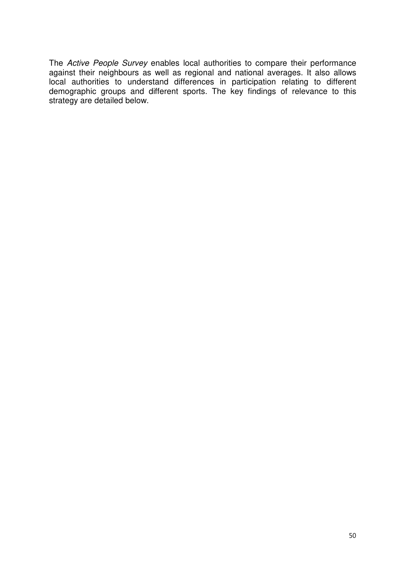The *Active People Survey* enables local authorities to compare their performance against their neighbours as well as regional and national averages. It also allows local authorities to understand differences in participation relating to different demographic groups and different sports. The key findings of relevance to this strategy are detailed below.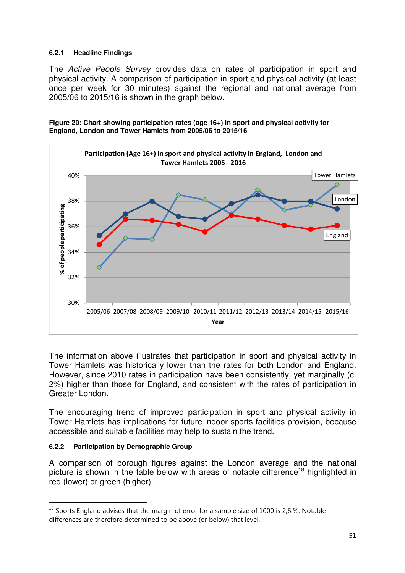#### **6.2.1 Headline Findings**

The *Active People Survey* provides data on rates of participation in sport and physical activity. A comparison of participation in sport and physical activity (at least once per week for 30 minutes) against the regional and national average from 2005/06 to 2015/16 is shown in the graph below.





The information above illustrates that participation in sport and physical activity in Tower Hamlets was historically lower than the rates for both London and England. However, since 2010 rates in participation have been consistently, yet marginally (c. 2%) higher than those for England, and consistent with the rates of participation in Greater London.

The encouraging trend of improved participation in sport and physical activity in Tower Hamlets has implications for future indoor sports facilities provision, because accessible and suitable facilities may help to sustain the trend.

#### **6.2.2 Participation by Demographic Group**

l

A comparison of borough figures against the London average and the national picture is shown in the table below with areas of notable difference<sup>18</sup> highlighted in red (lower) or green (higher).

 $18$  Sports England advises that the margin of error for a sample size of 1000 is 2,6 %. Notable differences are therefore determined to be above (or below) that level.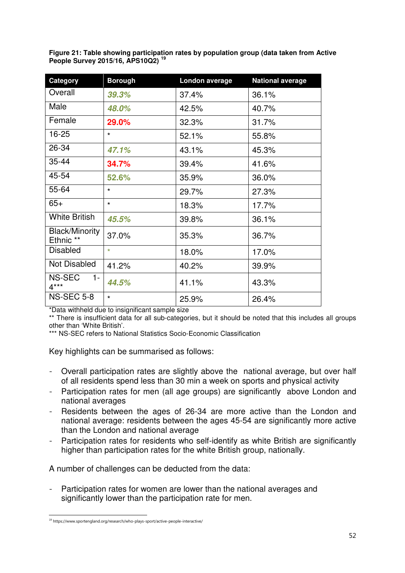**Figure 21: Table showing participation rates by population group (data taken from Active People Survey 2015/16, APS10Q2) <sup>19</sup>** 

| Category                                      | <b>Borough</b> | London average | <b>National average</b> |
|-----------------------------------------------|----------------|----------------|-------------------------|
| Overall                                       | 39.3%          | 37.4%          | 36.1%                   |
| Male                                          | 48.0%          | 42.5%          | 40.7%                   |
| Female                                        | 29.0%          | 32.3%          | 31.7%                   |
| 16-25                                         | $\star$        | 52.1%          | 55.8%                   |
| 26-34                                         | 47.1%          | 43.1%          | 45.3%                   |
| 35-44                                         | 34.7%          | 39.4%          | 41.6%                   |
| 45-54                                         | 52.6%          | 35.9%          | 36.0%                   |
| 55-64                                         | $\star$        | 29.7%          | 27.3%                   |
| $65+$                                         | $\star$        | 18.3%          | 17.7%                   |
| <b>White British</b>                          | 45.5%          | 39.8%          | 36.1%                   |
| <b>Black/Minority</b><br>Ethnic <sup>**</sup> | 37.0%          | 35.3%          | 36.7%                   |
| <b>Disabled</b>                               | $\star$        | 18.0%          | 17.0%                   |
| <b>Not Disabled</b>                           | 41.2%          | 40.2%          | 39.9%                   |
| NS-SEC<br>1-<br>$4***$                        | 44.5%          | 41.1%          | 43.3%                   |
| <b>NS-SEC 5-8</b>                             | $\star$        | 25.9%          | 26.4%                   |

\*Data withheld due to insignificant sample size

\*\* There is insufficient data for all sub-categories, but it should be noted that this includes all groups other than 'White British'.

\*\*\* NS-SEC refers to National Statistics Socio-Economic Classification

Key highlights can be summarised as follows:

- Overall participation rates are slightly above the national average, but over half of all residents spend less than 30 min a week on sports and physical activity
- Participation rates for men (all age groups) are significantly above London and national averages
- Residents between the ages of 26-34 are more active than the London and national average: residents between the ages 45-54 are significantly more active than the London and national average
- Participation rates for residents who self-identify as white British are significantly higher than participation rates for the white British group, nationally.

A number of challenges can be deducted from the data:

- Participation rates for women are lower than the national averages and significantly lower than the participation rate for men.

j <sup>19</sup> https://www.sportengland.org/research/who-plays-sport/active-people-interactive/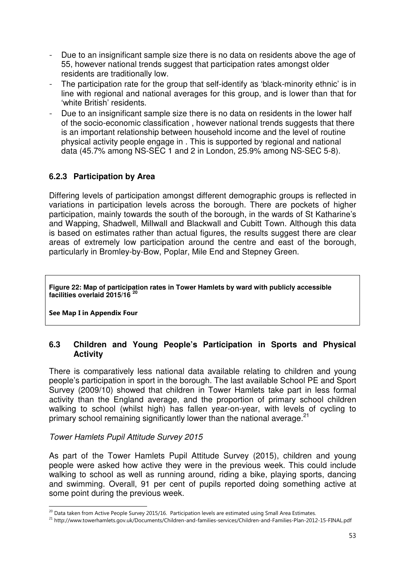- Due to an insignificant sample size there is no data on residents above the age of 55, however national trends suggest that participation rates amongst older residents are traditionally low.
- The participation rate for the group that self-identify as 'black-minority ethnic' is in line with regional and national averages for this group, and is lower than that for 'white British' residents.
- Due to an insignificant sample size there is no data on residents in the lower half of the socio-economic classification, however national trends suggests that there is an important relationship between household income and the level of routine physical activity people engage in . This is supported by regional and national data (45.7% among NS-SEC 1 and 2 in London, 25.9% among NS-SEC 5-8).

## **6.2.3 Participation by Area**

Differing levels of participation amongst different demographic groups is reflected in variations in participation levels across the borough. There are pockets of higher participation, mainly towards the south of the borough, in the wards of St Katharine's and Wapping, Shadwell, Millwall and Blackwall and Cubitt Town. Although this data is based on estimates rather than actual figures, the results suggest there are clear areas of extremely low participation around the centre and east of the borough, particularly in Bromley-by-Bow, Poplar, Mile End and Stepney Green.

**Figure 22: Map of participation rates in Tower Hamlets by ward with publicly accessible facilities overlaid 2015/16 <sup>20</sup>**

**See Map I in Appendix Four** 

-

## **6.3 Children and Young People's Participation in Sports and Physical Activity**

There is comparatively less national data available relating to children and young people's participation in sport in the borough. The last available School PE and Sport Survey (2009/10) showed that children in Tower Hamlets take part in less formal activity than the England average, and the proportion of primary school children walking to school (whilst high) has fallen year-on-year, with levels of cycling to primary school remaining significantly lower than the national average.<sup>21</sup>

## *Tower Hamlets Pupil Attitude Survey 2015*

As part of the Tower Hamlets Pupil Attitude Survey (2015), children and young people were asked how active they were in the previous week. This could include walking to school as well as running around, riding a bike, playing sports, dancing and swimming. Overall, 91 per cent of pupils reported doing something active at some point during the previous week.

<sup>&</sup>lt;sup>20</sup> Data taken from Active People Survey 2015/16. Participation levels are estimated using Small Area Estimates.

<sup>21</sup> http://www.towerhamlets.gov.uk/Documents/Children-and-families-services/Children-and-Families-Plan-2012-15-FINAL.pdf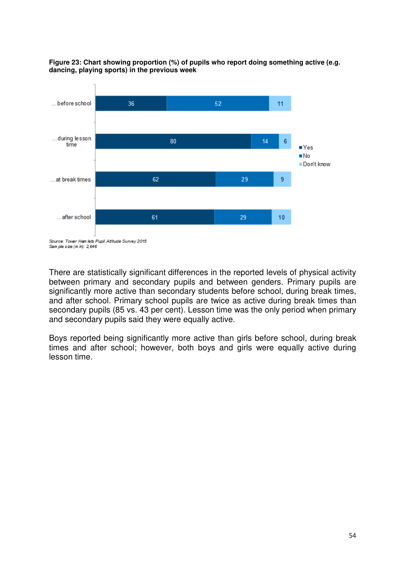



Sam ple size (m in): 2.646

There are statistically significant differences in the reported levels of physical activity between primary and secondary pupils and between genders. Primary pupils are significantly more active than secondary students before school, during break times, and after school. Primary school pupils are twice as active during break times than secondary pupils (85 vs. 43 per cent). Lesson time was the only period when primary and secondary pupils said they were equally active.

Boys reported being significantly more active than girls before school, during break times and after school; however, both boys and girls were equally active during lesson time.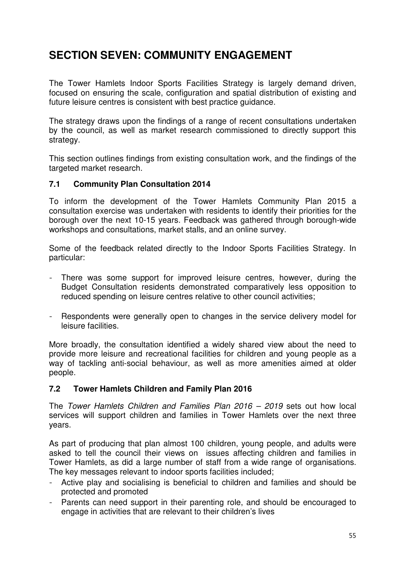# **SECTION SEVEN: COMMUNITY ENGAGEMENT**

The Tower Hamlets Indoor Sports Facilities Strategy is largely demand driven, focused on ensuring the scale, configuration and spatial distribution of existing and future leisure centres is consistent with best practice guidance.

The strategy draws upon the findings of a range of recent consultations undertaken by the council, as well as market research commissioned to directly support this strategy.

This section outlines findings from existing consultation work, and the findings of the targeted market research.

## **7.1 Community Plan Consultation 2014**

To inform the development of the Tower Hamlets Community Plan 2015 a consultation exercise was undertaken with residents to identify their priorities for the borough over the next 10-15 years. Feedback was gathered through borough-wide workshops and consultations, market stalls, and an online survey.

Some of the feedback related directly to the Indoor Sports Facilities Strategy. In particular:

- There was some support for improved leisure centres, however, during the Budget Consultation residents demonstrated comparatively less opposition to reduced spending on leisure centres relative to other council activities;
- Respondents were generally open to changes in the service delivery model for leisure facilities.

More broadly, the consultation identified a widely shared view about the need to provide more leisure and recreational facilities for children and young people as a way of tackling anti-social behaviour, as well as more amenities aimed at older people.

## **7.2 Tower Hamlets Children and Family Plan 2016**

The *Tower Hamlets Children and Families Plan 2016 – 2019* sets out how local services will support children and families in Tower Hamlets over the next three years.

As part of producing that plan almost 100 children, young people, and adults were asked to tell the council their views on issues affecting children and families in Tower Hamlets, as did a large number of staff from a wide range of organisations. The key messages relevant to indoor sports facilities included;

- Active play and socialising is beneficial to children and families and should be protected and promoted
- Parents can need support in their parenting role, and should be encouraged to engage in activities that are relevant to their children's lives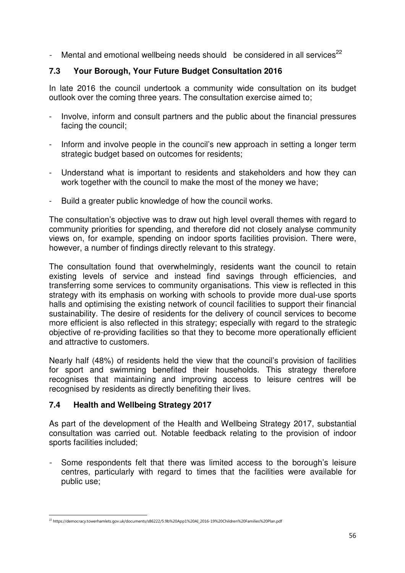- Mental and emotional wellbeing needs should be considered in all services<sup>22</sup>

## **7.3 Your Borough, Your Future Budget Consultation 2016**

In late 2016 the council undertook a community wide consultation on its budget outlook over the coming three years. The consultation exercise aimed to;

- Involve, inform and consult partners and the public about the financial pressures facing the council;
- Inform and involve people in the council's new approach in setting a longer term strategic budget based on outcomes for residents;
- Understand what is important to residents and stakeholders and how they can work together with the council to make the most of the money we have;
- Build a greater public knowledge of how the council works.

The consultation's objective was to draw out high level overall themes with regard to community priorities for spending, and therefore did not closely analyse community views on, for example, spending on indoor sports facilities provision. There were, however, a number of findings directly relevant to this strategy.

The consultation found that overwhelmingly, residents want the council to retain existing levels of service and instead find savings through efficiencies, and transferring some services to community organisations. This view is reflected in this strategy with its emphasis on working with schools to provide more dual-use sports halls and optimising the existing network of council facilities to support their financial sustainability. The desire of residents for the delivery of council services to become more efficient is also reflected in this strategy; especially with regard to the strategic objective of re-providing facilities so that they to become more operationally efficient and attractive to customers.

Nearly half (48%) of residents held the view that the council's provision of facilities for sport and swimming benefited their households. This strategy therefore recognises that maintaining and improving access to leisure centres will be recognised by residents as directly benefiting their lives.

## **7.4 Health and Wellbeing Strategy 2017**

As part of the development of the Health and Wellbeing Strategy 2017, substantial consultation was carried out. Notable feedback relating to the provision of indoor sports facilities included;

Some respondents felt that there was limited access to the borough's leisure centres, particularly with regard to times that the facilities were available for public use;

j  $^{22}$  https://democracy.towerhamlets.gov.uk/documents/s86222/5.9b%20App1%20AI\_2016-19%20Children%20Families%20Plan.pdf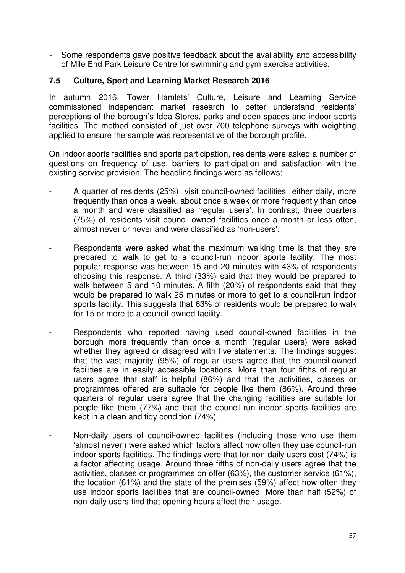- Some respondents gave positive feedback about the availability and accessibility of Mile End Park Leisure Centre for swimming and gym exercise activities.

## **7.5 Culture, Sport and Learning Market Research 2016**

In autumn 2016, Tower Hamlets' Culture, Leisure and Learning Service commissioned independent market research to better understand residents' perceptions of the borough's Idea Stores, parks and open spaces and indoor sports facilities. The method consisted of just over 700 telephone surveys with weighting applied to ensure the sample was representative of the borough profile.

On indoor sports facilities and sports participation, residents were asked a number of questions on frequency of use, barriers to participation and satisfaction with the existing service provision. The headline findings were as follows;

- A quarter of residents (25%) visit council-owned facilities either daily, more frequently than once a week, about once a week or more frequently than once a month and were classified as 'regular users'. In contrast, three quarters (75%) of residents visit council-owned facilities once a month or less often, almost never or never and were classified as 'non-users'.
- Respondents were asked what the maximum walking time is that they are prepared to walk to get to a council-run indoor sports facility. The most popular response was between 15 and 20 minutes with 43% of respondents choosing this response. A third (33%) said that they would be prepared to walk between 5 and 10 minutes. A fifth (20%) of respondents said that they would be prepared to walk 25 minutes or more to get to a council-run indoor sports facility. This suggests that 63% of residents would be prepared to walk for 15 or more to a council-owned facility.
- Respondents who reported having used council-owned facilities in the borough more frequently than once a month (regular users) were asked whether they agreed or disagreed with five statements. The findings suggest that the vast majority (95%) of regular users agree that the council-owned facilities are in easily accessible locations. More than four fifths of regular users agree that staff is helpful (86%) and that the activities, classes or programmes offered are suitable for people like them (86%). Around three quarters of regular users agree that the changing facilities are suitable for people like them (77%) and that the council-run indoor sports facilities are kept in a clean and tidy condition (74%).
	- Non-daily users of council-owned facilities (including those who use them 'almost never') were asked which factors affect how often they use council-run indoor sports facilities. The findings were that for non-daily users cost (74%) is a factor affecting usage. Around three fifths of non-daily users agree that the activities, classes or programmes on offer (63%), the customer service (61%), the location (61%) and the state of the premises (59%) affect how often they use indoor sports facilities that are council-owned. More than half (52%) of non-daily users find that opening hours affect their usage.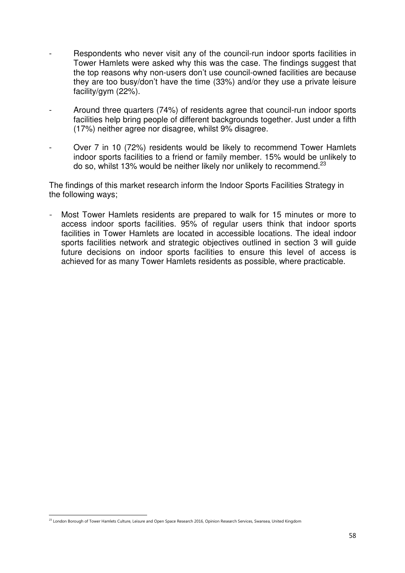- Respondents who never visit any of the council-run indoor sports facilities in Tower Hamlets were asked why this was the case. The findings suggest that the top reasons why non-users don't use council-owned facilities are because they are too busy/don't have the time (33%) and/or they use a private leisure facility/gym (22%).
- Around three quarters (74%) of residents agree that council-run indoor sports facilities help bring people of different backgrounds together. Just under a fifth (17%) neither agree nor disagree, whilst 9% disagree.
- Over 7 in 10 (72%) residents would be likely to recommend Tower Hamlets indoor sports facilities to a friend or family member. 15% would be unlikely to do so, whilst 13% would be neither likely nor unlikely to recommend. $^{23}$

The findings of this market research inform the Indoor Sports Facilities Strategy in the following ways;

Most Tower Hamlets residents are prepared to walk for 15 minutes or more to access indoor sports facilities. 95% of regular users think that indoor sports facilities in Tower Hamlets are located in accessible locations. The ideal indoor sports facilities network and strategic objectives outlined in section 3 will guide future decisions on indoor sports facilities to ensure this level of access is achieved for as many Tower Hamlets residents as possible, where practicable.

j  $^{23}$  London Borough of Tower Hamlets Culture, Leisure and Open Space Research 2016, Opinion Research Services, Swansea, United Kingdom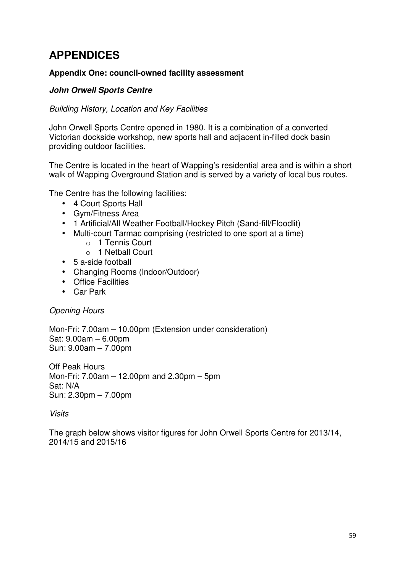# **APPENDICES**

## **Appendix One: council-owned facility assessment**

## *John Orwell Sports Centre*

## *Building History, Location and Key Facilities*

John Orwell Sports Centre opened in 1980. It is a combination of a converted Victorian dockside workshop, new sports hall and adjacent in-filled dock basin providing outdoor facilities.

The Centre is located in the heart of Wapping's residential area and is within a short walk of Wapping Overground Station and is served by a variety of local bus routes.

The Centre has the following facilities:

- 4 Court Sports Hall
- Gym/Fitness Area
- 1 Artificial/All Weather Football/Hockey Pitch (Sand-fill/Floodlit)
- Multi-court Tarmac comprising (restricted to one sport at a time)
	- o 1 Tennis Court
	- o 1 Netball Court
- 5 a-side football
- Changing Rooms (Indoor/Outdoor)
- Office Facilities
- Car Park

*Opening Hours* 

Mon-Fri: 7.00am – 10.00pm (Extension under consideration) Sat: 9.00am – 6.00pm Sun: 9.00am – 7.00pm

Off Peak Hours Mon-Fri: 7.00am – 12.00pm and 2.30pm – 5pm Sat: N/A Sun: 2.30pm – 7.00pm

*Visits*

The graph below shows visitor figures for John Orwell Sports Centre for 2013/14, 2014/15 and 2015/16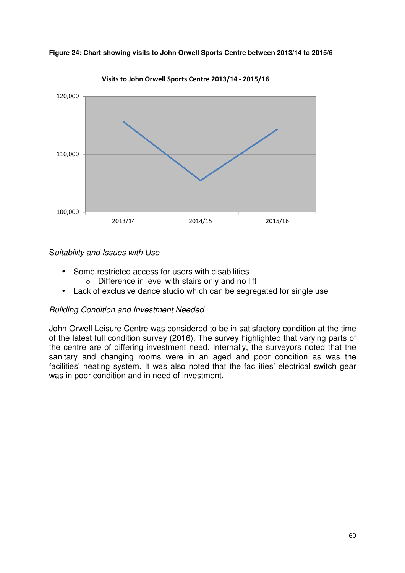

**Figure 24: Chart showing visits to John Orwell Sports Centre between 2013/14 to 2015/6** 

**Visits to John Orwell Sports Centre 2013/14 - 2015/16**

## S*uitability and Issues with Use*

- Some restricted access for users with disabilities
	- $\circ$  Difference in level with stairs only and no lift
- Lack of exclusive dance studio which can be segregated for single use

## *Building Condition and Investment Needed*

John Orwell Leisure Centre was considered to be in satisfactory condition at the time of the latest full condition survey (2016). The survey highlighted that varying parts of the centre are of differing investment need. Internally, the surveyors noted that the sanitary and changing rooms were in an aged and poor condition as was the facilities' heating system. It was also noted that the facilities' electrical switch gear was in poor condition and in need of investment.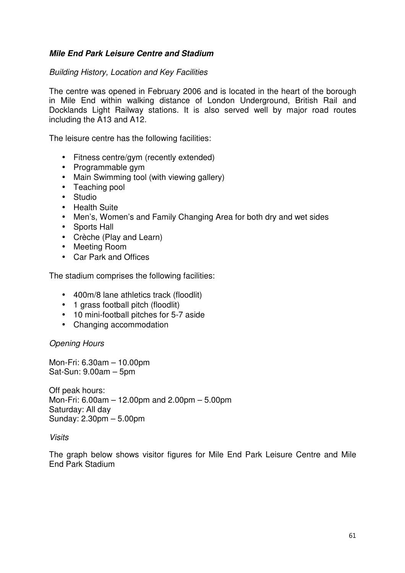## *Mile End Park Leisure Centre and Stadium*

## *Building History, Location and Key Facilities*

The centre was opened in February 2006 and is located in the heart of the borough in Mile End within walking distance of London Underground, British Rail and Docklands Light Railway stations. It is also served well by major road routes including the A13 and A12.

The leisure centre has the following facilities:

- Fitness centre/gym (recently extended)
- Programmable gym
- Main Swimming tool (with viewing gallery)
- Teaching pool
- Studio
- Health Suite
- Men's, Women's and Family Changing Area for both dry and wet sides
- Sports Hall
- Crèche (Play and Learn)
- Meeting Room
- Car Park and Offices

The stadium comprises the following facilities:

- 400m/8 lane athletics track (floodlit)
- 1 grass football pitch (floodlit)
- 10 mini-football pitches for 5-7 aside
- Changing accommodation

*Opening Hours* 

Mon-Fri: 6.30am – 10.00pm Sat-Sun: 9.00am – 5pm

Off peak hours: Mon-Fri: 6.00am – 12.00pm and 2.00pm – 5.00pm Saturday: All day Sunday: 2.30pm – 5.00pm

#### *Visits*

The graph below shows visitor figures for Mile End Park Leisure Centre and Mile End Park Stadium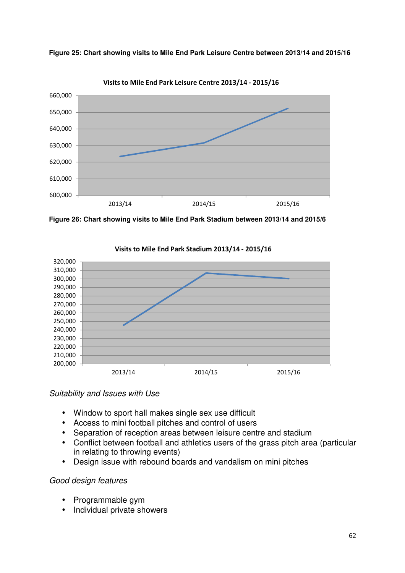

**Figure 25: Chart showing visits to Mile End Park Leisure Centre between 2013/14 and 2015/16** 

**Figure 26: Chart showing visits to Mile End Park Stadium between 2013/14 and 2015/6** 



**Visits to Mile End Park Stadium 2013/14 - 2015/16** 

## *Suitability and Issues with Use*

- Window to sport hall makes single sex use difficult
- Access to mini football pitches and control of users
- Separation of reception areas between leisure centre and stadium
- Conflict between football and athletics users of the grass pitch area (particular in relating to throwing events)
- Design issue with rebound boards and vandalism on mini pitches

## *Good design features*

- Programmable gym
- Individual private showers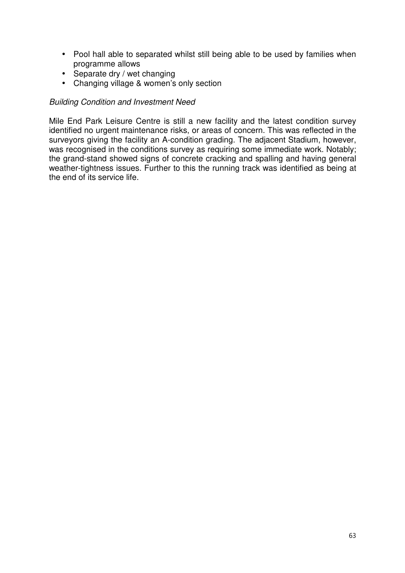- Pool hall able to separated whilst still being able to be used by families when programme allows
- Separate dry / wet changing
- Changing village & women's only section

## *Building Condition and Investment Need*

Mile End Park Leisure Centre is still a new facility and the latest condition survey identified no urgent maintenance risks, or areas of concern. This was reflected in the surveyors giving the facility an A-condition grading. The adjacent Stadium, however, was recognised in the conditions survey as requiring some immediate work. Notably; the grand-stand showed signs of concrete cracking and spalling and having general weather-tightness issues. Further to this the running track was identified as being at the end of its service life.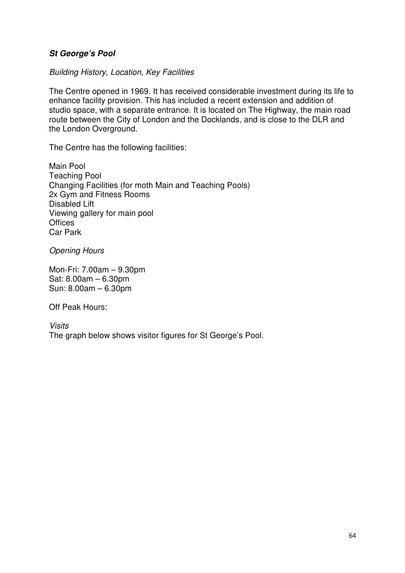## *St George's Pool*

*Building History, Location, Key Facilities* 

The Centre opened in 1969. It has received considerable investment during its life to enhance facility provision. This has included a recent extension and addition of studio space, with a separate entrance. It is located on The Highway, the main road route between the City of London and the Docklands, and is close to the DLR and the London Overground.

The Centre has the following facilities:

Main Pool Teaching Pool Changing Facilities (for moth Main and Teaching Pools) 2x Gym and Fitness Rooms Disabled Lift Viewing gallery for main pool **Offices** Car Park

*Opening Hours* 

Mon-Fri: 7.00am – 9.30pm Sat: 8.00am – 6.30pm Sun: 8.00am – 6.30pm

Off Peak Hours:

*Visits*  The graph below shows visitor figures for St George's Pool.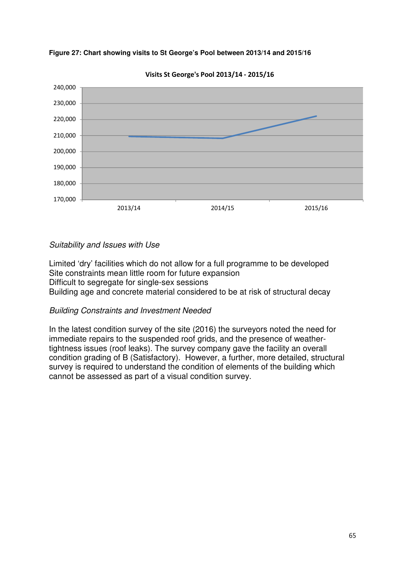





## *Suitability and Issues with Use*

Limited 'dry' facilities which do not allow for a full programme to be developed Site constraints mean little room for future expansion Difficult to segregate for single-sex sessions Building age and concrete material considered to be at risk of structural decay

## *Building Constraints and Investment Needed*

In the latest condition survey of the site (2016) the surveyors noted the need for immediate repairs to the suspended roof grids, and the presence of weathertightness issues (roof leaks). The survey company gave the facility an overall condition grading of B (Satisfactory). However, a further, more detailed, structural survey is required to understand the condition of elements of the building which cannot be assessed as part of a visual condition survey.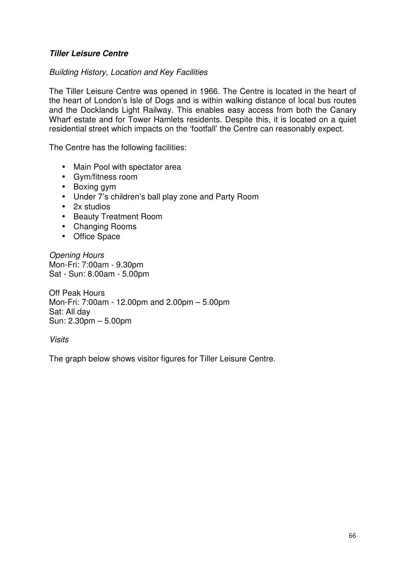## *Tiller Leisure Centre*

## *Building History, Location and Key Facilities*

The Tiller Leisure Centre was opened in 1966. The Centre is located in the heart of the heart of London's Isle of Dogs and is within walking distance of local bus routes and the Docklands Light Railway. This enables easy access from both the Canary Wharf estate and for Tower Hamlets residents. Despite this, it is located on a quiet residential street which impacts on the 'footfall' the Centre can reasonably expect.

The Centre has the following facilities:

- Main Pool with spectator area
- Gym/fitness room
- Boxing gym
- Under 7's children's ball play zone and Party Room
- 2x studios
- Beauty Treatment Room
- Changing Rooms
- Office Space

*Opening Hours*  Mon-Fri: 7:00am - 9.30pm Sat - Sun: 8.00am - 5.00pm

Off Peak Hours Mon-Fri: 7:00am - 12.00pm and 2.00pm – 5.00pm Sat: All day Sun: 2.30pm – 5.00pm

*Visits* 

The graph below shows visitor figures for Tiller Leisure Centre.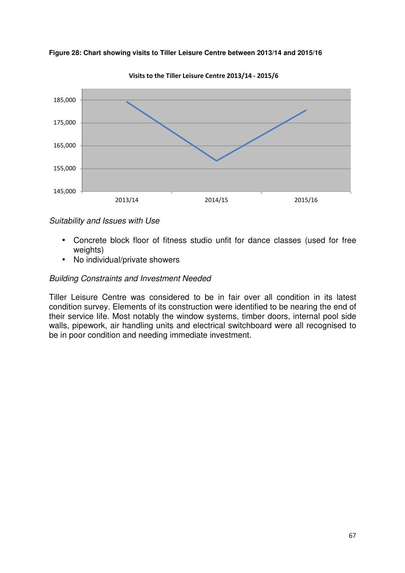

**Figure 28: Chart showing visits to Tiller Leisure Centre between 2013/14 and 2015/16** 

**Visits to the Tiller Leisure Centre 2013/14 - 2015/6**

*Suitability and Issues with Use* 

- Concrete block floor of fitness studio unfit for dance classes (used for free weights)
- No individual/private showers

## *Building Constraints and Investment Needed*

Tiller Leisure Centre was considered to be in fair over all condition in its latest condition survey. Elements of its construction were identified to be nearing the end of their service life. Most notably the window systems, timber doors, internal pool side walls, pipework, air handling units and electrical switchboard were all recognised to be in poor condition and needing immediate investment.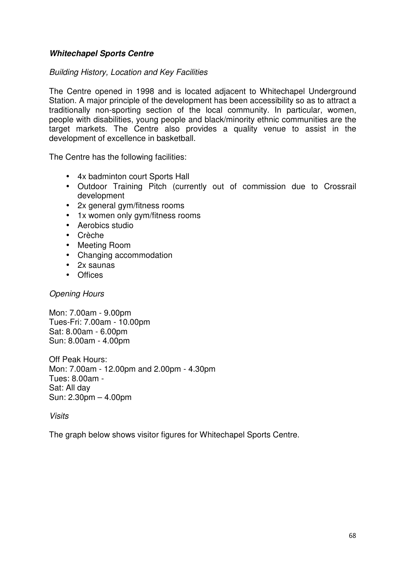## *Whitechapel Sports Centre*

## *Building History, Location and Key Facilities*

The Centre opened in 1998 and is located adjacent to Whitechapel Underground Station. A major principle of the development has been accessibility so as to attract a traditionally non-sporting section of the local community. In particular, women, people with disabilities, young people and black/minority ethnic communities are the target markets. The Centre also provides a quality venue to assist in the development of excellence in basketball.

The Centre has the following facilities:

- 4x badminton court Sports Hall
- Outdoor Training Pitch (currently out of commission due to Crossrail development
- 2x general gym/fitness rooms
- 1x women only gym/fitness rooms
- Aerobics studio
- Crèche
- Meeting Room
- Changing accommodation
- 2x saunas
- Offices

## *Opening Hours*

Mon: 7.00am - 9.00pm Tues-Fri: 7.00am - 10.00pm Sat: 8.00am - 6.00pm Sun: 8.00am - 4.00pm

Off Peak Hours: Mon: 7.00am - 12.00pm and 2.00pm - 4.30pm Tues: 8.00am - Sat: All day Sun: 2.30pm – 4.00pm

*Visits*

The graph below shows visitor figures for Whitechapel Sports Centre.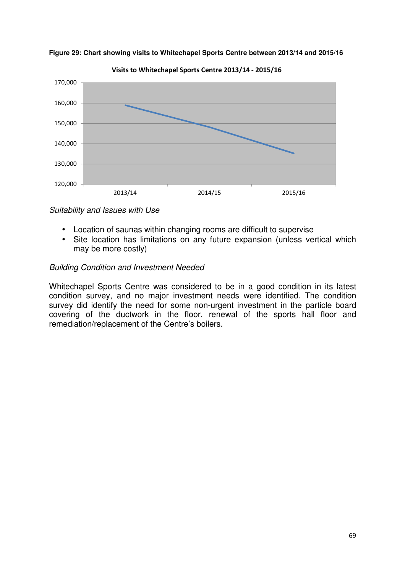

**Figure 29: Chart showing visits to Whitechapel Sports Centre between 2013/14 and 2015/16** 

*Suitability and Issues with Use* 

- Location of saunas within changing rooms are difficult to supervise
- Site location has limitations on any future expansion (unless vertical which may be more costly)

## *Building Condition and Investment Needed*

Whitechapel Sports Centre was considered to be in a good condition in its latest condition survey, and no major investment needs were identified. The condition survey did identify the need for some non-urgent investment in the particle board covering of the ductwork in the floor, renewal of the sports hall floor and remediation/replacement of the Centre's boilers.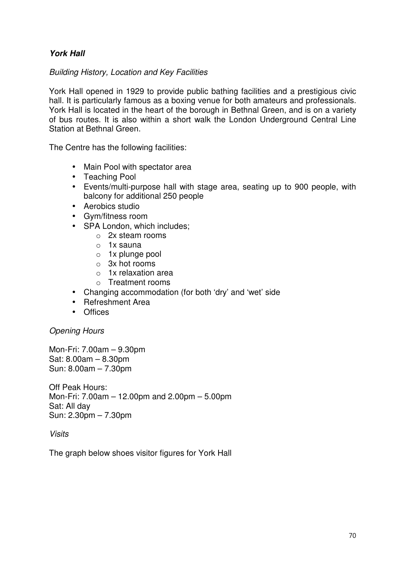## *York Hall*

*Building History, Location and Key Facilities* 

York Hall opened in 1929 to provide public bathing facilities and a prestigious civic hall. It is particularly famous as a boxing venue for both amateurs and professionals. York Hall is located in the heart of the borough in Bethnal Green, and is on a variety of bus routes. It is also within a short walk the London Underground Central Line Station at Bethnal Green.

The Centre has the following facilities:

- Main Pool with spectator area
- Teaching Pool
- Events/multi-purpose hall with stage area, seating up to 900 people, with balcony for additional 250 people
- Aerobics studio
- Gym/fitness room
- SPA London, which includes;
	- o 2x steam rooms
	- $\circ$  1x sauna
	- o 1x plunge pool
	- o 3x hot rooms
	- $\circ$  1x relaxation area
	- o Treatment rooms
- Changing accommodation (for both 'dry' and 'wet' side
- Refreshment Area
- Offices

## *Opening Hours*

Mon-Fri: 7.00am – 9.30pm Sat: 8.00am – 8.30pm Sun: 8.00am – 7.30pm

Off Peak Hours: Mon-Fri: 7.00am – 12.00pm and 2.00pm – 5.00pm Sat: All day Sun: 2.30pm – 7.30pm

*Visits* 

The graph below shoes visitor figures for York Hall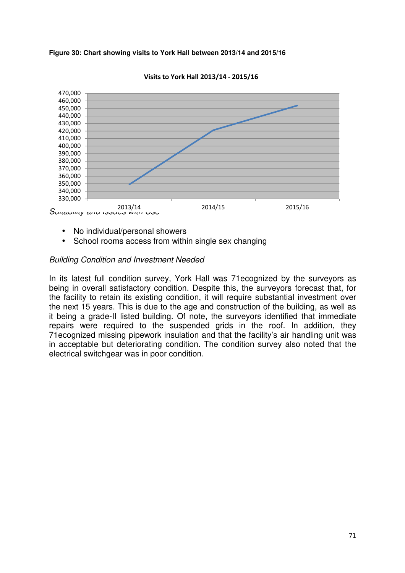



**Visits to York Hall 2013/14 - 2015/16**

- No individual/personal showers
- School rooms access from within single sex changing

#### *Building Condition and Investment Needed*

In its latest full condition survey, York Hall was 71ecognized by the surveyors as being in overall satisfactory condition. Despite this, the surveyors forecast that, for the facility to retain its existing condition, it will require substantial investment over the next 15 years. This is due to the age and construction of the building, as well as it being a grade-II listed building. Of note, the surveyors identified that immediate repairs were required to the suspended grids in the roof. In addition, they 71ecognized missing pipework insulation and that the facility's air handling unit was in acceptable but deteriorating condition. The condition survey also noted that the electrical switchgear was in poor condition.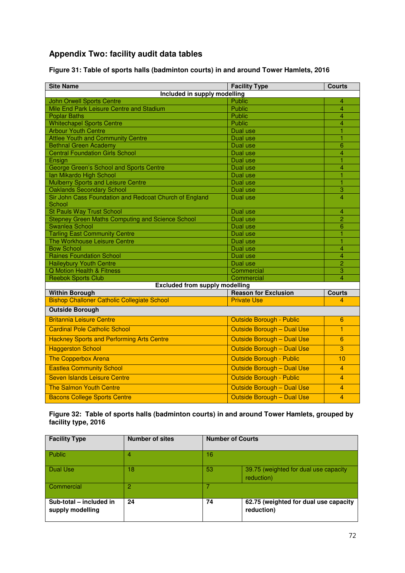# **Appendix Two: facility audit data tables**

**Figure 31: Table of sports halls (badminton courts) in and around Tower Hamlets, 2016**

| <b>Site Name</b>                                                                      | <b>Facility Type</b>              | <b>Courts</b>  |  |  |  |
|---------------------------------------------------------------------------------------|-----------------------------------|----------------|--|--|--|
| Included in supply modelling                                                          |                                   |                |  |  |  |
| <b>John Orwell Sports Centre</b>                                                      | <b>Public</b>                     | 4              |  |  |  |
| Mile End Park Leisure Centre and Stadium                                              | Public                            | $\overline{4}$ |  |  |  |
| <b>Poplar Baths</b>                                                                   | <b>Public</b>                     | $\overline{4}$ |  |  |  |
| <b>Whitechapel Sports Centre</b>                                                      | <b>Public</b>                     | $\overline{4}$ |  |  |  |
| <b>Arbour Youth Centre</b>                                                            | Dual use                          | $\overline{1}$ |  |  |  |
| <b>Attlee Youth and Community Centre</b>                                              | Dual use                          | 1              |  |  |  |
| <b>Bethnal Green Academy</b>                                                          | Dual use                          | 6              |  |  |  |
| <b>Central Foundation Girls School</b>                                                | Dual use                          | 4              |  |  |  |
| Ensian                                                                                | Dual use                          | 1              |  |  |  |
| George Green's School and Sports Centre                                               | Dual use                          | $\overline{4}$ |  |  |  |
| Ian Mikardo High School                                                               | Dual use                          | 1              |  |  |  |
| <b>Mulberry Sports and Leisure Centre</b>                                             | Dual use                          | $\overline{1}$ |  |  |  |
| <b>Oaklands Secondary School</b>                                                      | Dual use                          | 3              |  |  |  |
| Sir John Cass Foundation and Redcoat Church of England                                | Dual use                          | $\overline{4}$ |  |  |  |
| School                                                                                |                                   |                |  |  |  |
| <b>St Pauls Way Trust School</b>                                                      | Dual use                          | $\overline{4}$ |  |  |  |
| <b>Stepney Green Maths Computing and Science School</b>                               | Dual use                          | 2              |  |  |  |
| Swanlea School                                                                        | Dual use                          | 6              |  |  |  |
| <b>Tarling East Community Centre</b>                                                  | Dual use                          | 1              |  |  |  |
| The Workhouse Leisure Centre                                                          | Dual use                          | 1              |  |  |  |
| <b>Bow School</b>                                                                     | Dual use                          | $\overline{4}$ |  |  |  |
| <b>Raines Foundation School</b>                                                       | Dual use                          | $\overline{4}$ |  |  |  |
| <b>Haileybury Youth Centre</b>                                                        | Dual use                          | $\overline{2}$ |  |  |  |
| <b>Q Motion Health &amp; Fitness</b>                                                  | Commercial                        | 3              |  |  |  |
| <b>Reebok Sports Club</b>                                                             | Commercial                        | $\overline{4}$ |  |  |  |
| <b>Excluded from supply modelling</b><br><b>Reason for Exclusion</b><br><b>Courts</b> |                                   |                |  |  |  |
| <b>Within Borough</b><br><b>Bishop Challoner Catholic Collegiate School</b>           | <b>Private Use</b>                | 4              |  |  |  |
|                                                                                       |                                   |                |  |  |  |
| <b>Outside Borough</b>                                                                |                                   |                |  |  |  |
| <b>Britannia Leisure Centre</b>                                                       | Outside Borough - Public          | 6              |  |  |  |
| <b>Cardinal Pole Catholic School</b>                                                  | Outside Borough - Dual Use        | $\mathbf{1}$   |  |  |  |
| <b>Hackney Sports and Performing Arts Centre</b>                                      | <b>Outside Borough - Dual Use</b> | 6              |  |  |  |
| <b>Haggerston School</b>                                                              | <b>Outside Borough - Dual Use</b> | 3              |  |  |  |
| <b>The Copperbox Arena</b>                                                            | <b>Outside Borough - Public</b>   | 10             |  |  |  |
| <b>Eastlea Community School</b>                                                       | Outside Borough - Dual Use        | 4              |  |  |  |
| <b>Seven Islands Leisure Centre</b>                                                   | <b>Outside Borough - Public</b>   | 4              |  |  |  |
| <b>The Salmon Youth Centre</b>                                                        | <b>Outside Borough - Dual Use</b> | 4              |  |  |  |
| <b>Bacons College Sports Centre</b>                                                   | Outside Borough - Dual Use        | $\overline{4}$ |  |  |  |

#### **Figure 32: Table of sports halls (badminton courts) in and around Tower Hamlets, grouped by facility type, 2016**

| <b>Facility Type</b>                        | <b>Number of sites</b> | <b>Number of Courts</b> |                                                     |
|---------------------------------------------|------------------------|-------------------------|-----------------------------------------------------|
| Public                                      | 4                      | 16                      |                                                     |
| <b>Dual Use</b>                             | 18                     | 53                      | 39.75 (weighted for dual use capacity<br>reduction) |
| Commercial                                  | 2                      |                         |                                                     |
| Sub-total - included in<br>supply modelling | 24                     | 74                      | 62.75 (weighted for dual use capacity<br>reduction) |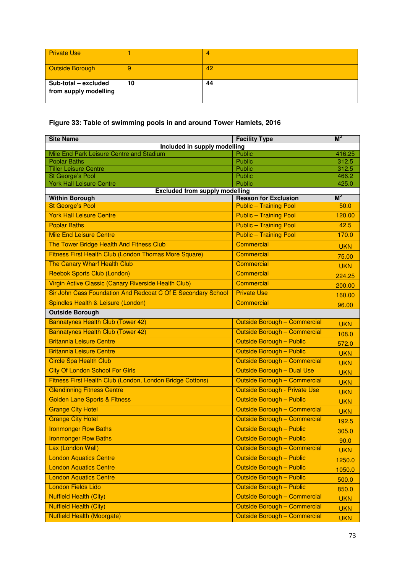| <b>Private Use</b>                            |    | 4  |
|-----------------------------------------------|----|----|
| <b>Outside Borough</b>                        | 9  | 42 |
| Sub-total - excluded<br>from supply modelling | 10 | 44 |

## **Figure 33: Table of swimming pools in and around Tower Hamlets, 2016**

| <b>Site Name</b>                                             | <b>Facility Type</b>                 | $M^2$          |
|--------------------------------------------------------------|--------------------------------------|----------------|
| Included in supply modelling                                 |                                      |                |
| Mile End Park Leisure Centre and Stadium                     | <b>Public</b>                        | 416.25         |
| <b>Poplar Baths</b><br><b>Tiller Leisure Centre</b>          | Public<br>Public                     | 312.5<br>312.5 |
| St George's Pool                                             | <b>Public</b>                        | 466.2          |
| <b>York Hall Leisure Centre</b>                              | Public                               | 425.0          |
| <b>Excluded from supply modelling</b>                        |                                      |                |
| <b>Within Borough</b>                                        | <b>Reason for Exclusion</b>          | $M^2$          |
| <b>St George's Pool</b>                                      | <b>Public - Training Pool</b>        | 50.0           |
| <b>York Hall Leisure Centre</b>                              | <b>Public - Training Pool</b>        | 120.00         |
| <b>Poplar Baths</b>                                          | <b>Public - Training Pool</b>        | 42.5           |
| <b>Mile End Leisure Centre</b>                               | <b>Public - Training Pool</b>        | 170.0          |
| The Tower Bridge Health And Fitness Club                     | <b>Commercial</b>                    | <b>UKN</b>     |
| Fitness First Health Club (London Thomas More Square)        | <b>Commercial</b>                    | 75.00          |
| The Canary Wharf Health Club                                 | <b>Commercial</b>                    | <b>UKN</b>     |
| <b>Reebok Sports Club (London)</b>                           | <b>Commercial</b>                    | 224.25         |
| Virgin Active Classic (Canary Riverside Health Club)         | <b>Commercial</b>                    | 200.00         |
| Sir John Cass Foundation And Redcoat C Of E Secondary School | <b>Private Use</b>                   | 160.00         |
| Spindles Health & Leisure (London)                           | <b>Commercial</b>                    | 96.00          |
| <b>Outside Borough</b>                                       |                                      |                |
| Bannatynes Health Club (Tower 42)                            | <b>Outside Borough - Commercial</b>  | <b>UKN</b>     |
| Bannatynes Health Club (Tower 42)                            | Outside Borough - Commercial         | 108.0          |
| <b>Britannia Leisure Centre</b>                              | <b>Outside Borough - Public</b>      | 572.0          |
| <b>Britannia Leisure Centre</b>                              | Outside Borough - Public             | <b>UKN</b>     |
| <b>Circle Spa Health Club</b>                                | <b>Outside Borough - Commercial</b>  | <b>UKN</b>     |
| <b>City Of London School For Girls</b>                       | Outside Borough - Dual Use           | <b>UKN</b>     |
| Fitness First Health Club (London, London Bridge Cottons)    | <b>Outside Borough - Commercial</b>  | <b>UKN</b>     |
| <b>Glendinning Fitness Centre</b>                            | <b>Outside Borough - Private Use</b> | <b>UKN</b>     |
| <b>Golden Lane Sports &amp; Fitness</b>                      | Outside Borough - Public             | <b>UKN</b>     |
| <b>Grange City Hotel</b>                                     | <b>Outside Borough - Commercial</b>  | <b>UKN</b>     |
| <b>Grange City Hotel</b>                                     | <b>Outside Borough - Commercial</b>  | 192.5          |
| <b>Ironmonger Row Baths</b>                                  | <b>Outside Borough - Public</b>      | 305.0          |
| <b>Ironmonger Row Baths</b>                                  | <b>Outside Borough - Public</b>      | 90.0           |
| Lax (London Wall)                                            | <b>Outside Borough - Commercial</b>  | <b>UKN</b>     |
| <b>London Aquatics Centre</b>                                | <b>Outside Borough - Public</b>      | 1250.0         |
| <b>London Aquatics Centre</b>                                | <b>Outside Borough - Public</b>      | 1050.0         |
| <b>London Aquatics Centre</b>                                | Outside Borough - Public             | 500.0          |
| London Fields Lido                                           | Outside Borough - Public             | 850.0          |
| <b>Nuffield Health (City)</b>                                | <b>Outside Borough - Commercial</b>  | <b>UKN</b>     |
| <b>Nuffield Health (City)</b>                                | <b>Outside Borough - Commercial</b>  | <b>UKN</b>     |
| <b>Nuffield Health (Moorgate)</b>                            | <b>Outside Borough - Commercial</b>  | <b>UKN</b>     |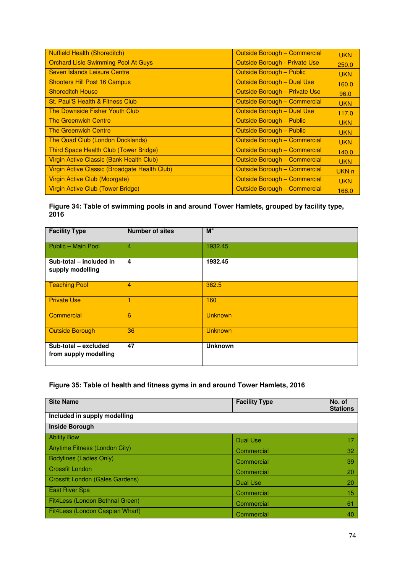| <b>Nuffield Health (Shoreditch)</b>           | Outside Borough - Commercial         | <b>UKN</b>       |
|-----------------------------------------------|--------------------------------------|------------------|
| <b>Orchard Lisle Swimming Pool At Guys</b>    | <b>Outside Borough - Private Use</b> | 250.0            |
| Seven Islands Leisure Centre                  | Outside Borough - Public             | <b>UKN</b>       |
| <b>Shooters Hill Post 16 Campus</b>           | Outside Borough - Dual Use           | 160.0            |
| <b>Shoreditch House</b>                       | Outside Borough - Private Use        | 96.0             |
| St. Paul'S Health & Fitness Club              | Outside Borough - Commercial         | <b>UKN</b>       |
| The Downside Fisher Youth Club                | Outside Borough - Dual Use           | 117.0            |
| <b>The Greenwich Centre</b>                   | <b>Outside Borough - Public</b>      | <b>UKN</b>       |
| <b>The Greenwich Centre</b>                   | <b>Outside Borough - Public</b>      | <b>UKN</b>       |
| The Quad Club (London Docklands)              | Outside Borough - Commercial         | <b>UKN</b>       |
| Third Space Health Club (Tower Bridge)        | Outside Borough - Commercial         | 140.0            |
| Virgin Active Classic (Bank Health Club)      | Outside Borough - Commercial         | <b>UKN</b>       |
| Virgin Active Classic (Broadgate Health Club) | Outside Borough - Commercial         | UKN <sub>n</sub> |
| Virgin Active Club (Moorgate)                 | Outside Borough - Commercial         | <b>UKN</b>       |
| Virgin Active Club (Tower Bridge)             | Outside Borough - Commercial         | 168.0            |

## **Figure 34: Table of swimming pools in and around Tower Hamlets, grouped by facility type, 2016**

| <b>Facility Type</b>                          | <b>Number of sites</b> | $M^2$          |
|-----------------------------------------------|------------------------|----------------|
| Public - Main Pool                            | $\overline{4}$         | 1932.45        |
| Sub-total - included in<br>supply modelling   | 4                      | 1932.45        |
| <b>Teaching Pool</b>                          | 4                      | 382.5          |
| <b>Private Use</b>                            | 1                      | 160            |
| Commercial                                    | 6                      | <b>Unknown</b> |
| <b>Outside Borough</b>                        | 36                     | <b>Unknown</b> |
| Sub-total - excluded<br>from supply modelling | 47                     | <b>Unknown</b> |

## **Figure 35: Table of health and fitness gyms in and around Tower Hamlets, 2016**

| <b>Site Name</b>                | <b>Facility Type</b> | No. of<br><b>Stations</b> |
|---------------------------------|----------------------|---------------------------|
| Included in supply modelling    |                      |                           |
| <b>Inside Borough</b>           |                      |                           |
| <b>Ability Bow</b>              | Dual Use             | 17                        |
| Anytime Fitness (London City)   | Commercial           | 32                        |
| <b>Bodylines (Ladies Only)</b>  | Commercial           | 39                        |
| Crossfit London                 | Commercial           | 20                        |
| Crossfit London (Gales Gardens) | Dual Use             | 20                        |
| <b>East River Spa</b>           | Commercial           | 15                        |
| Fit4Less (London Bethnal Green) | Commercial           | 61                        |
| Fit4Less (London Caspian Wharf) | Commercial           | 40                        |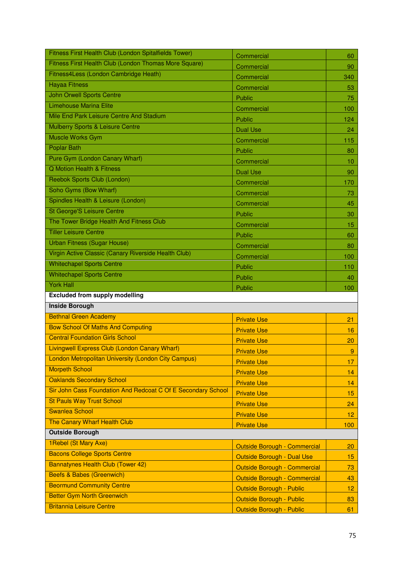| Fitness First Health Club (London Spitalfields Tower)        | Commercial                                                         | 60             |
|--------------------------------------------------------------|--------------------------------------------------------------------|----------------|
| Fitness First Health Club (London Thomas More Square)        | Commercial                                                         | 90             |
| Fitness4Less (London Cambridge Heath)                        | Commercial                                                         | 340            |
| <b>Hayaa Fitness</b>                                         | Commercial                                                         | 53             |
| <b>John Orwell Sports Centre</b>                             | Public                                                             | 75             |
| <b>Limehouse Marina Elite</b>                                | Commercial                                                         | 100            |
| Mile End Park Leisure Centre And Stadium                     | Public                                                             | 124            |
| Mulberry Sports & Leisure Centre                             | <b>Dual Use</b>                                                    | 24             |
| Muscle Works Gym                                             | Commercial                                                         | 115            |
| <b>Poplar Bath</b>                                           | Public                                                             | 80             |
| Pure Gym (London Canary Wharf)                               | Commercial                                                         | 10             |
| <b>Q Motion Health &amp; Fitness</b>                         | <b>Dual Use</b>                                                    | 90             |
| Reebok Sports Club (London)                                  | Commercial                                                         | 170            |
| Soho Gyms (Bow Wharf)                                        | Commercial                                                         | 73             |
| Spindles Health & Leisure (London)                           | Commercial                                                         | 45             |
| <b>St George'S Leisure Centre</b>                            | Public                                                             | 30             |
| The Tower Bridge Health And Fitness Club                     | Commercial                                                         | 15             |
| <b>Tiller Leisure Centre</b>                                 | Public                                                             | 60             |
| <b>Urban Fitness (Sugar House)</b>                           | Commercial                                                         | 80             |
| Virgin Active Classic (Canary Riverside Health Club)         | Commercial                                                         | 100            |
| <b>Whitechapel Sports Centre</b>                             | Public                                                             | 110            |
| <b>Whitechapel Sports Centre</b>                             | Public                                                             | 40             |
|                                                              |                                                                    |                |
| <b>York Hall</b>                                             |                                                                    |                |
| <b>Excluded from supply modelling</b>                        | Public                                                             | 100            |
| <b>Inside Borough</b>                                        |                                                                    |                |
| <b>Bethnal Green Academy</b>                                 |                                                                    |                |
| <b>Bow School Of Maths And Computing</b>                     | <b>Private Use</b>                                                 | 21             |
| <b>Central Foundation Girls School</b>                       | <b>Private Use</b>                                                 | 16             |
| Livingwell Express Club (London Canary Wharf)                | <b>Private Use</b>                                                 | 20             |
| <b>London Metropolitan University (London City Campus)</b>   | <b>Private Use</b>                                                 | $\overline{9}$ |
| <b>Morpeth School</b>                                        | <b>Private Use</b>                                                 | 17             |
| <b>Oaklands Secondary School</b>                             | <b>Private Use</b>                                                 | 14             |
| Sir John Cass Foundation And Redcoat C Of E Secondary School | <b>Private Use</b>                                                 | 14             |
| <b>St Pauls Way Trust School</b>                             | <b>Private Use</b>                                                 | 15             |
| <b>Swanlea School</b>                                        | <b>Private Use</b>                                                 | 24             |
| The Canary Wharf Health Club                                 | <b>Private Use</b>                                                 | 12             |
| <b>Outside Borough</b>                                       | <b>Private Use</b>                                                 | 100            |
| 1 Rebel (St Mary Axe)                                        |                                                                    |                |
| <b>Bacons College Sports Centre</b>                          | <b>Outside Borough - Commercial</b>                                | 20             |
| Bannatynes Health Club (Tower 42)                            | Outside Borough - Dual Use                                         | 15             |
| <b>Beefs &amp; Babes (Greenwich)</b>                         | <b>Outside Borough - Commercial</b>                                | 73             |
| <b>Beormund Community Centre</b>                             | <b>Outside Borough - Commercial</b>                                | 43             |
| <b>Better Gym North Greenwich</b>                            | <b>Outside Borough - Public</b><br><b>Outside Borough - Public</b> | 12<br>83       |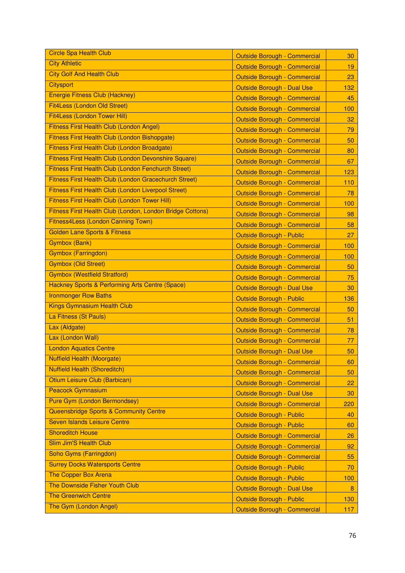| <b>Circle Spa Health Club</b>                              | <b>Outside Borough - Commercial</b> | 30  |
|------------------------------------------------------------|-------------------------------------|-----|
| <b>City Athletic</b>                                       | <b>Outside Borough - Commercial</b> | 19  |
| <b>City Golf And Health Club</b>                           | <b>Outside Borough - Commercial</b> | 23  |
| <b>Citysport</b>                                           | Outside Borough - Dual Use          | 132 |
| <b>Energie Fitness Club (Hackney)</b>                      | <b>Outside Borough - Commercial</b> | 45  |
| Fit4Less (London Old Street)                               | <b>Outside Borough - Commercial</b> | 100 |
| Fit4Less (London Tower Hill)                               | <b>Outside Borough - Commercial</b> | 32  |
| Fitness First Health Club (London Angel)                   | <b>Outside Borough - Commercial</b> | 79  |
| Fitness First Health Club (London Bishopgate)              | <b>Outside Borough - Commercial</b> | 50  |
| Fitness First Health Club (London Broadgate)               | <b>Outside Borough - Commercial</b> | 80  |
| Fitness First Health Club (London Devonshire Square)       | <b>Outside Borough - Commercial</b> | 67  |
| <b>Fitness First Health Club (London Fenchurch Street)</b> | <b>Outside Borough - Commercial</b> | 123 |
| Fitness First Health Club (London Gracechurch Street)      | <b>Outside Borough - Commercial</b> | 110 |
| <b>Fitness First Health Club (London Liverpool Street)</b> | <b>Outside Borough - Commercial</b> | 78  |
| Fitness First Health Club (London Tower Hill)              | <b>Outside Borough - Commercial</b> | 100 |
| Fitness First Health Club (London, London Bridge Cottons)  | <b>Outside Borough - Commercial</b> | 98  |
| Fitness4Less (London Canning Town)                         | <b>Outside Borough - Commercial</b> | 58  |
| <b>Golden Lane Sports &amp; Fitness</b>                    | <b>Outside Borough - Public</b>     | 27  |
| <b>Gymbox (Bank)</b>                                       | <b>Outside Borough - Commercial</b> | 100 |
| <b>Gymbox (Farringdon)</b>                                 | <b>Outside Borough - Commercial</b> | 100 |
| <b>Gymbox (Old Street)</b>                                 | <b>Outside Borough - Commercial</b> | 50  |
| <b>Gymbox (Westfield Stratford)</b>                        | <b>Outside Borough - Commercial</b> | 75  |
| Hackney Sports & Performing Arts Centre (Space)            | <b>Outside Borough - Dual Use</b>   | 30  |
| <b>Ironmonger Row Baths</b>                                | <b>Outside Borough - Public</b>     | 136 |
| <b>Kings Gymnasium Health Club</b>                         | <b>Outside Borough - Commercial</b> | 50  |
| La Fitness (St Pauls)                                      | <b>Outside Borough - Commercial</b> | 51  |
| Lax (Aldgate)                                              | <b>Outside Borough - Commercial</b> | 78  |
| Lax (London Wall)                                          | <b>Outside Borough - Commercial</b> | 77  |
| <b>London Aquatics Centre</b>                              | Outside Borough - Dual Use          | 50  |
| <b>Nuffield Health (Moorgate)</b>                          | <b>Outside Borough - Commercial</b> | 60  |
| <b>Nuffield Health (Shoreditch)</b>                        | <b>Outside Borough - Commercial</b> | 50  |
| Otium Leisure Club (Barbican)                              | <b>Outside Borough - Commercial</b> | 22  |
| <b>Peacock Gymnasium</b>                                   | Outside Borough - Dual Use          | 30  |
| <b>Pure Gym (London Bermondsey)</b>                        | <b>Outside Borough - Commercial</b> | 220 |
| Queensbridge Sports & Community Centre                     | <b>Outside Borough - Public</b>     | 40  |
| Seven Islands Leisure Centre                               | <b>Outside Borough - Public</b>     | 60  |
| <b>Shoreditch House</b>                                    | <b>Outside Borough - Commercial</b> | 26  |
| <b>Slim Jim'S Health Club</b>                              | <b>Outside Borough - Commercial</b> | 92  |
| Soho Gyms (Farringdon)                                     | <b>Outside Borough - Commercial</b> | 55  |
| <b>Surrey Docks Watersports Centre</b>                     | Outside Borough - Public            | 70  |
| <b>The Copper Box Arena</b>                                | <b>Outside Borough - Public</b>     | 100 |
| The Downside Fisher Youth Club                             | Outside Borough - Dual Use          | 8   |
| <b>The Greenwich Centre</b>                                | <b>Outside Borough - Public</b>     | 130 |
| The Gym (London Angel)                                     |                                     |     |
|                                                            | <b>Outside Borough - Commercial</b> | 117 |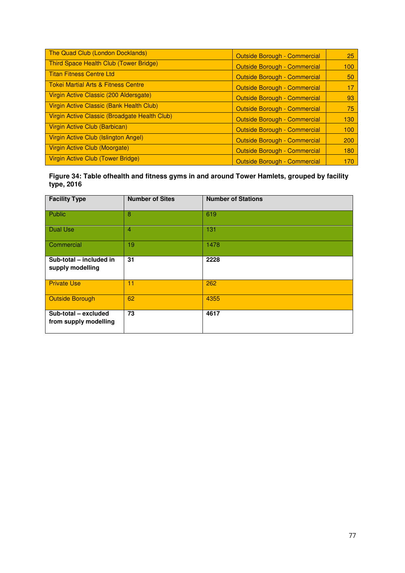| The Quad Club (London Docklands)              | <b>Outside Borough - Commercial</b> | 25  |
|-----------------------------------------------|-------------------------------------|-----|
| Third Space Health Club (Tower Bridge)        | <b>Outside Borough - Commercial</b> | 100 |
| Titan Fitness Centre Ltd                      | <b>Outside Borough - Commercial</b> | 50  |
| Tokei Martial Arts & Fitness Centre           | <b>Outside Borough - Commercial</b> | 17  |
| Virgin Active Classic (200 Aldersgate)        | <b>Outside Borough - Commercial</b> | 93  |
| Virgin Active Classic (Bank Health Club)      | <b>Outside Borough - Commercial</b> | 75  |
| Virgin Active Classic (Broadgate Health Club) | Outside Borough - Commercial        | 130 |
| Virgin Active Club (Barbican)                 | <b>Outside Borough - Commercial</b> | 100 |
| Virgin Active Club (Islington Angel)          | <b>Outside Borough - Commercial</b> | 200 |
| Virgin Active Club (Moorgate)                 | <b>Outside Borough - Commercial</b> | 180 |
| Virgin Active Club (Tower Bridge)             | <b>Outside Borough - Commercial</b> | 170 |

**Figure 34: Table ofhealth and fitness gyms in and around Tower Hamlets, grouped by facility type, 2016** 

| <b>Facility Type</b>                          | <b>Number of Sites</b> | <b>Number of Stations</b> |
|-----------------------------------------------|------------------------|---------------------------|
| Public                                        | 8                      | 619                       |
| <b>Dual Use</b>                               | $\overline{4}$         | 131                       |
| Commercial                                    | 19                     | 1478                      |
| Sub-total - included in<br>supply modelling   | 31                     | 2228                      |
| <b>Private Use</b>                            | 11                     | 262                       |
| Outside Borough                               | 62                     | 4355                      |
| Sub-total - excluded<br>from supply modelling | 73                     | 4617                      |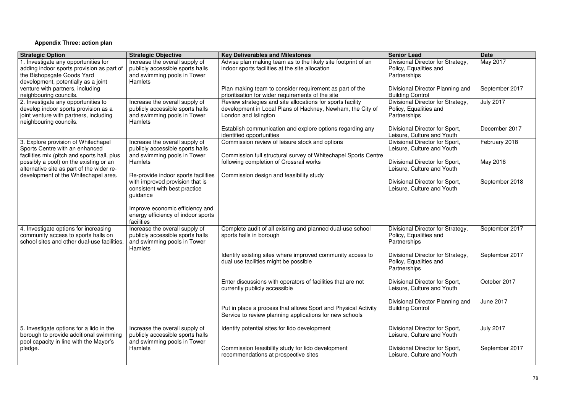## **Appendix Three: action plan**

| <b>Strategic Option</b>                                                           | <b>Strategic Objective</b>                    | <b>Key Deliverables and Milestones</b>                                                                       | <b>Senior Lead</b>                                           | <b>Date</b>      |
|-----------------------------------------------------------------------------------|-----------------------------------------------|--------------------------------------------------------------------------------------------------------------|--------------------------------------------------------------|------------------|
| 1. Investigate any opportunities for                                              | Increase the overall supply of                | Advise plan making team as to the likely site footprint of an                                                | Divisional Director for Strategy,                            | May 2017         |
| adding indoor sports provision as part of                                         | publicly accessible sports halls              | indoor sports facilities at the site allocation                                                              | Policy, Equalities and                                       |                  |
| the Bishopsgate Goods Yard                                                        | and swimming pools in Tower                   |                                                                                                              | Partnerships                                                 |                  |
| development, potentially as a joint                                               | <b>Hamlets</b>                                |                                                                                                              |                                                              |                  |
| venture with partners, including                                                  |                                               | Plan making team to consider requirement as part of the<br>prioritisation for wider requirements of the site | Divisional Director Planning and                             | September 2017   |
| neighbouring councils.<br>2. Investigate any opportunities to                     | Increase the overall supply of                | Review strategies and site allocations for sports facility                                                   | <b>Building Control</b><br>Divisional Director for Strategy, | <b>July 2017</b> |
| develop indoor sports provision as a                                              | publicly accessible sports halls              | development in Local Plans of Hackney, Newham, the City of                                                   | Policy, Equalities and                                       |                  |
| joint venture with partners, including                                            | and swimming pools in Tower                   | London and Islington                                                                                         | Partnerships                                                 |                  |
| neighbouring councils.                                                            | Hamlets                                       |                                                                                                              |                                                              |                  |
|                                                                                   |                                               | Establish communication and explore options regarding any                                                    | Divisional Director for Sport,                               | December 2017    |
|                                                                                   |                                               | identified opportunities                                                                                     | Leisure, Culture and Youth                                   |                  |
| 3. Explore provision of Whitechapel                                               | Increase the overall supply of                | Commission review of leisure stock and options                                                               | Divisional Director for Sport,                               | February 2018    |
| Sports Centre with an enhanced                                                    | publicly accessible sports halls              |                                                                                                              | Leisure, Culture and Youth                                   |                  |
| facilities mix (pitch and sports hall, plus                                       | and swimming pools in Tower                   | Commission full structural survey of Whitechapel Sports Centre                                               |                                                              |                  |
| possibly a pool) on the existing or an                                            | <b>Hamlets</b>                                | following completion of Crossrail works                                                                      | Divisional Director for Sport,                               | May 2018         |
| alternative site as part of the wider re-<br>development of the Whitechapel area. | Re-provide indoor sports facilities           | Commission design and feasibility study                                                                      | Leisure, Culture and Youth                                   |                  |
|                                                                                   | with improved provision that is               |                                                                                                              | Divisional Director for Sport,                               | September 2018   |
|                                                                                   | consistent with best practice                 |                                                                                                              | Leisure, Culture and Youth                                   |                  |
|                                                                                   | guidance                                      |                                                                                                              |                                                              |                  |
|                                                                                   |                                               |                                                                                                              |                                                              |                  |
|                                                                                   | Improve economic efficiency and               |                                                                                                              |                                                              |                  |
|                                                                                   | energy efficiency of indoor sports            |                                                                                                              |                                                              |                  |
|                                                                                   | facilities                                    |                                                                                                              |                                                              |                  |
| 4. Investigate options for increasing                                             | Increase the overall supply of                | Complete audit of all existing and planned dual-use school                                                   | Divisional Director for Strategy,                            | September 2017   |
| community access to sports halls on                                               | publicly accessible sports halls              | sports halls in borough                                                                                      | Policy, Equalities and                                       |                  |
| school sites and other dual-use facilities.                                       | and swimming pools in Tower<br><b>Hamlets</b> |                                                                                                              | Partnerships                                                 |                  |
|                                                                                   |                                               | Identify existing sites where improved community access to                                                   | Divisional Director for Strategy,                            | September 2017   |
|                                                                                   |                                               | dual use facilities might be possible                                                                        | Policy, Equalities and                                       |                  |
|                                                                                   |                                               |                                                                                                              | Partnerships                                                 |                  |
|                                                                                   |                                               |                                                                                                              |                                                              |                  |
|                                                                                   |                                               | Enter discussions with operators of facilities that are not                                                  | Divisional Director for Sport,                               | October 2017     |
|                                                                                   |                                               | currently publicly accessible                                                                                | Leisure, Culture and Youth                                   |                  |
|                                                                                   |                                               |                                                                                                              |                                                              |                  |
|                                                                                   |                                               |                                                                                                              | Divisional Director Planning and                             | <b>June 2017</b> |
|                                                                                   |                                               | Put in place a process that allows Sport and Physical Activity                                               | <b>Building Control</b>                                      |                  |
|                                                                                   |                                               | Service to review planning applications for new schools                                                      |                                                              |                  |
| 5. Investigate options for a lido in the                                          | Increase the overall supply of                | Identify potential sites for lido development                                                                | Divisional Director for Sport,                               | <b>July 2017</b> |
| borough to provide additional swimming                                            | publicly accessible sports halls              |                                                                                                              | Leisure, Culture and Youth                                   |                  |
| pool capacity in line with the Mayor's                                            | and swimming pools in Tower                   |                                                                                                              |                                                              |                  |
| pledge.                                                                           | <b>Hamlets</b>                                | Commission feasibility study for lido development                                                            | Divisional Director for Sport,                               | September 2017   |
|                                                                                   |                                               | recommendations at prospective sites                                                                         | Leisure, Culture and Youth                                   |                  |
|                                                                                   |                                               |                                                                                                              |                                                              |                  |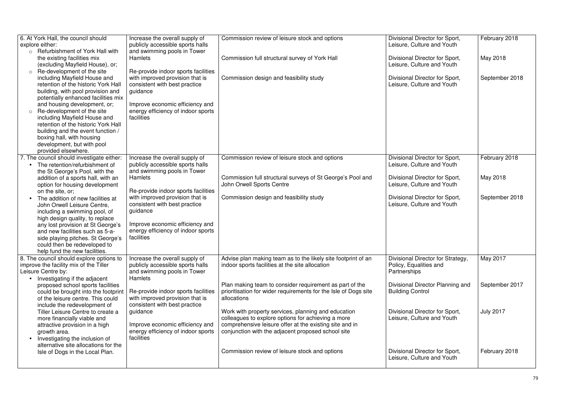| 6. At York Hall, the council should       | Increase the overall supply of      | Commission review of leisure stock and options                  | Divisional Director for Sport,    | February 2018    |
|-------------------------------------------|-------------------------------------|-----------------------------------------------------------------|-----------------------------------|------------------|
| explore either:                           | publicly accessible sports halls    |                                                                 | Leisure, Culture and Youth        |                  |
| <b>Refurbishment of York Hall with</b>    | and swimming pools in Tower         |                                                                 |                                   |                  |
| the existing facilities mix               | Hamlets                             | Commission full structural survey of York Hall                  | Divisional Director for Sport,    | May 2018         |
| (excluding Mayfield House), or;           |                                     |                                                                 | Leisure, Culture and Youth        |                  |
| Re-development of the site                | Re-provide indoor sports facilities |                                                                 |                                   |                  |
| including Mayfield House and              | with improved provision that is     | Commission design and feasibility study                         | Divisional Director for Sport,    | September 2018   |
| retention of the historic York Hall       | consistent with best practice       |                                                                 | Leisure, Culture and Youth        |                  |
| building, with pool provision and         | guidance                            |                                                                 |                                   |                  |
| potentially enhanced facilities mix       |                                     |                                                                 |                                   |                  |
| and housing development, or;              | Improve economic efficiency and     |                                                                 |                                   |                  |
| Re-development of the site                | energy efficiency of indoor sports  |                                                                 |                                   |                  |
| including Mayfield House and              | facilities                          |                                                                 |                                   |                  |
| retention of the historic York Hall       |                                     |                                                                 |                                   |                  |
|                                           |                                     |                                                                 |                                   |                  |
| building and the event function /         |                                     |                                                                 |                                   |                  |
| boxing hall, with housing                 |                                     |                                                                 |                                   |                  |
| development, but with pool                |                                     |                                                                 |                                   |                  |
| provided elsewhere.                       |                                     |                                                                 |                                   |                  |
| 7. The council should investigate either: | Increase the overall supply of      | Commission review of leisure stock and options                  | Divisional Director for Sport,    | February 2018    |
| The retention/refurbishment of            | publicly accessible sports halls    |                                                                 | Leisure, Culture and Youth        |                  |
| the St George's Pool, with the            | and swimming pools in Tower         |                                                                 |                                   |                  |
| addition of a sports hall, with an        | <b>Hamlets</b>                      | Commission full structural surveys of St George's Pool and      | Divisional Director for Sport,    | May 2018         |
| option for housing development            |                                     | John Orwell Sports Centre                                       | Leisure, Culture and Youth        |                  |
| on the site, or;                          | Re-provide indoor sports facilities |                                                                 |                                   |                  |
| The addition of new facilities at         | with improved provision that is     | Commission design and feasibility study                         | Divisional Director for Sport,    | September 2018   |
| John Orwell Leisure Centre,               | consistent with best practice       |                                                                 | Leisure, Culture and Youth        |                  |
| including a swimming pool, of             | guidance                            |                                                                 |                                   |                  |
| high design quality, to replace           |                                     |                                                                 |                                   |                  |
| any lost provision at St George's         | Improve economic efficiency and     |                                                                 |                                   |                  |
| and new facilities such as 5-a-           | energy efficiency of indoor sports  |                                                                 |                                   |                  |
| side playing pitches. St George's         | facilities                          |                                                                 |                                   |                  |
| could then be redeveloped to              |                                     |                                                                 |                                   |                  |
| help fund the new facilities.             |                                     |                                                                 |                                   |                  |
| 8. The council should explore options to  | Increase the overall supply of      | Advise plan making team as to the likely site footprint of an   | Divisional Director for Strategy, | May 2017         |
| improve the facility mix of the Tiller    | publicly accessible sports halls    | indoor sports facilities at the site allocation                 | Policy, Equalities and            |                  |
| Leisure Centre by:                        | and swimming pools in Tower         |                                                                 | Partnerships                      |                  |
| Investigating if the adjacent             | <b>Hamlets</b>                      |                                                                 |                                   |                  |
| proposed school sports facilities         |                                     | Plan making team to consider requirement as part of the         | Divisional Director Planning and  | September 2017   |
| could be brought into the footprint       | Re-provide indoor sports facilities | prioritisation for wider requirements for the Isle of Dogs site | <b>Building Control</b>           |                  |
| of the leisure centre. This could         | with improved provision that is     | allocations                                                     |                                   |                  |
|                                           | consistent with best practice       |                                                                 |                                   |                  |
| include the redevelopment of              |                                     |                                                                 |                                   |                  |
| Tiller Leisure Centre to create a         | guidance                            | Work with property services, planning and education             | Divisional Director for Sport,    | <b>July 2017</b> |
| more financially viable and               |                                     | colleagues to explore options for achieving a more              | Leisure, Culture and Youth        |                  |
| attractive provision in a high            | Improve economic efficiency and     | comprehensive leisure offer at the existing site and in         |                                   |                  |
| growth area.                              | energy efficiency of indoor sports  | conjunction with the adjacent proposed school site              |                                   |                  |
| Investigating the inclusion of            | facilities                          |                                                                 |                                   |                  |
| alternative site allocations for the      |                                     |                                                                 |                                   |                  |
| Isle of Dogs in the Local Plan.           |                                     | Commission review of leisure stock and options                  | Divisional Director for Sport,    | February 2018    |
|                                           |                                     |                                                                 | Leisure, Culture and Youth        |                  |
|                                           |                                     |                                                                 |                                   |                  |